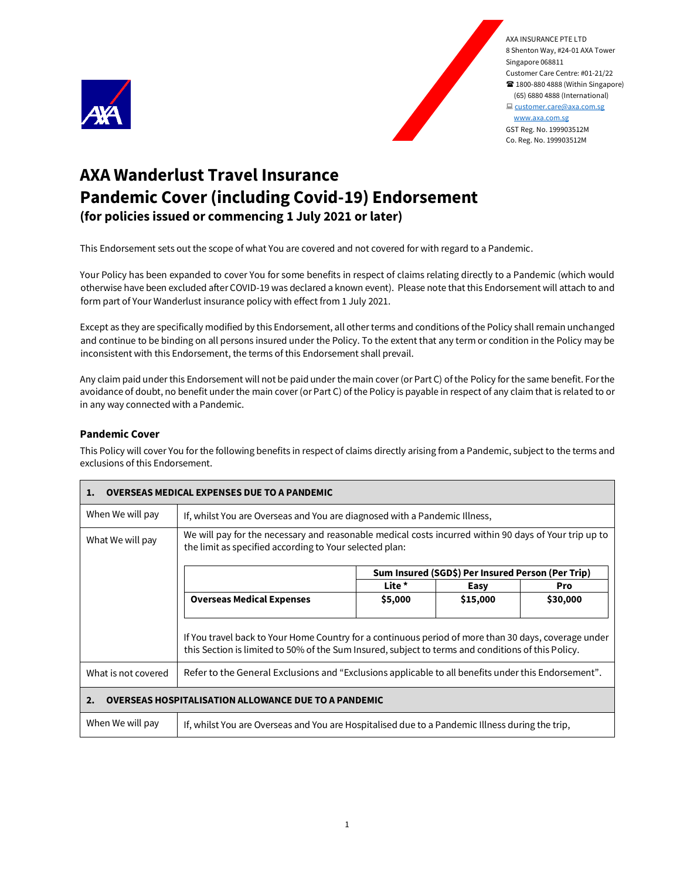



# **AXA Wanderlust Travel Insurance Pandemic Cover (including Covid-19) Endorsement (for policies issued or commencing 1 July 2021 or later)**

This Endorsement sets out the scope of what You are covered and not covered for with regard to a Pandemic.

Your Policy has been expanded to cover You for some benefits in respect of claims relating directly to a Pandemic (which would otherwise have been excluded after COVID-19 was declared a known event). Please note that this Endorsement will attach to and form part of Your Wanderlust insurance policy with effect from 1 July 2021.

Except as they are specifically modified by this Endorsement, all other terms and conditions of the Policy shall remain unchanged and continue to be binding on all persons insured under the Policy. To the extent that any term or condition in the Policy may be inconsistent with this Endorsement, the terms of this Endorsement shall prevail.

Any claim paid under this Endorsement will not be paid under the main cover (or Part C) of the Policy for the same benefit. For the avoidance of doubt, no benefit under the main cover (or Part C) of the Policy is payable in respect of any claim that is related to or in any way connected with a Pandemic.

## **Pandemic Cover**

This Policy will cover You for the following benefits in respect of claims directly arising from a Pandemic, subject to the terms and exclusions of this Endorsement.

| 1.                                                                | <b>OVERSEAS MEDICAL EXPENSES DUE TO A PANDEMIC</b>                                                                                                                                                         |                                                                            |                                                   |          |  |  |
|-------------------------------------------------------------------|------------------------------------------------------------------------------------------------------------------------------------------------------------------------------------------------------------|----------------------------------------------------------------------------|---------------------------------------------------|----------|--|--|
| When We will pay                                                  |                                                                                                                                                                                                            | If, whilst You are Overseas and You are diagnosed with a Pandemic Illness, |                                                   |          |  |  |
| What We will pay                                                  | We will pay for the necessary and reasonable medical costs incurred within 90 days of Your trip up to<br>the limit as specified according to Your selected plan:                                           |                                                                            |                                                   |          |  |  |
|                                                                   |                                                                                                                                                                                                            |                                                                            | Sum Insured (SGD\$) Per Insured Person (Per Trip) |          |  |  |
|                                                                   |                                                                                                                                                                                                            | Lite *                                                                     | Easy                                              | Pro      |  |  |
|                                                                   | <b>Overseas Medical Expenses</b>                                                                                                                                                                           | \$5,000                                                                    | \$15,000                                          | \$30,000 |  |  |
|                                                                   | If You travel back to Your Home Country for a continuous period of more than 30 days, coverage under<br>this Section is limited to 50% of the Sum Insured, subject to terms and conditions of this Policy. |                                                                            |                                                   |          |  |  |
| What is not covered                                               | Refer to the General Exclusions and "Exclusions applicable to all benefits under this Endorsement".                                                                                                        |                                                                            |                                                   |          |  |  |
| <b>OVERSEAS HOSPITALISATION ALLOWANCE DUE TO A PANDEMIC</b><br>2. |                                                                                                                                                                                                            |                                                                            |                                                   |          |  |  |
| When We will pay                                                  | If, whilst You are Overseas and You are Hospitalised due to a Pandemic Illness during the trip,                                                                                                            |                                                                            |                                                   |          |  |  |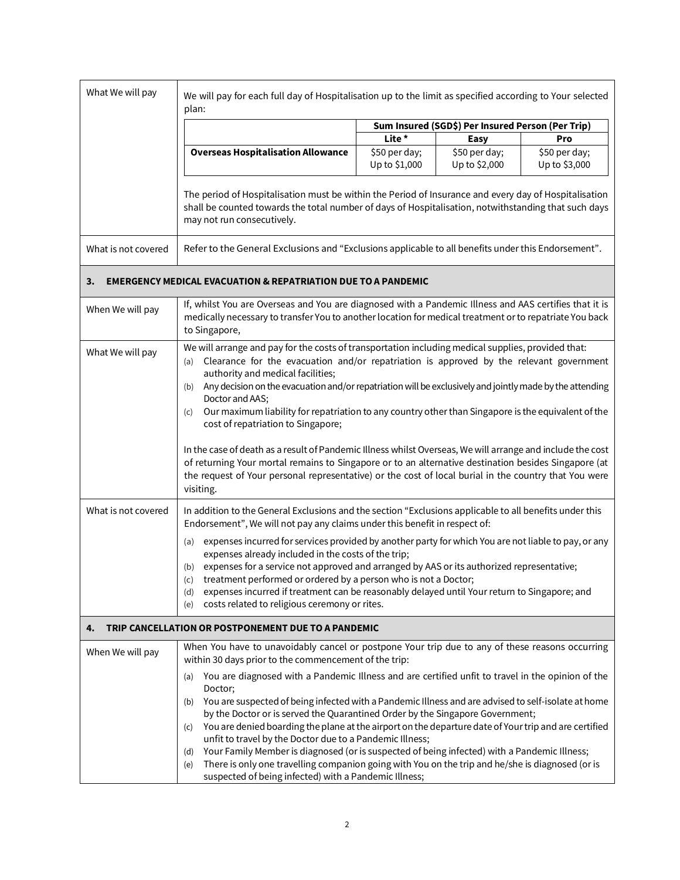| What We will pay    | We will pay for each full day of Hospitalisation up to the limit as specified according to Your selected<br>plan:                                                                                                                                                                                                                                                                                                                                                                                                                   |                                |                                |                                |  |
|---------------------|-------------------------------------------------------------------------------------------------------------------------------------------------------------------------------------------------------------------------------------------------------------------------------------------------------------------------------------------------------------------------------------------------------------------------------------------------------------------------------------------------------------------------------------|--------------------------------|--------------------------------|--------------------------------|--|
|                     | Sum Insured (SGD\$) Per Insured Person (Per Trip)                                                                                                                                                                                                                                                                                                                                                                                                                                                                                   |                                |                                |                                |  |
|                     |                                                                                                                                                                                                                                                                                                                                                                                                                                                                                                                                     | Lite *                         | Easy                           | Pro                            |  |
|                     | <b>Overseas Hospitalisation Allowance</b>                                                                                                                                                                                                                                                                                                                                                                                                                                                                                           | \$50 per day;<br>Up to \$1,000 | \$50 per day;<br>Up to \$2,000 | \$50 per day;<br>Up to \$3,000 |  |
|                     | The period of Hospitalisation must be within the Period of Insurance and every day of Hospitalisation<br>shall be counted towards the total number of days of Hospitalisation, notwithstanding that such days<br>may not run consecutively.                                                                                                                                                                                                                                                                                         |                                |                                |                                |  |
| What is not covered | Refer to the General Exclusions and "Exclusions applicable to all benefits under this Endorsement".                                                                                                                                                                                                                                                                                                                                                                                                                                 |                                |                                |                                |  |
| 3.                  | <b>EMERGENCY MEDICAL EVACUATION &amp; REPATRIATION DUE TO A PANDEMIC</b>                                                                                                                                                                                                                                                                                                                                                                                                                                                            |                                |                                |                                |  |
| When We will pay    | If, whilst You are Overseas and You are diagnosed with a Pandemic Illness and AAS certifies that it is<br>medically necessary to transfer You to another location for medical treatment or to repatriate You back<br>to Singapore,                                                                                                                                                                                                                                                                                                  |                                |                                |                                |  |
| What We will pay    | We will arrange and pay for the costs of transportation including medical supplies, provided that:<br>Clearance for the evacuation and/or repatriation is approved by the relevant government<br>(a)<br>authority and medical facilities;<br>Any decision on the evacuation and/or repatriation will be exclusively and jointly made by the attending<br>(b)<br>Doctor and AAS;<br>Our maximum liability for repatriation to any country other than Singapore is the equivalent of the<br>(c)<br>cost of repatriation to Singapore; |                                |                                |                                |  |
|                     | In the case of death as a result of Pandemic Illness whilst Overseas, We will arrange and include the cost<br>of returning Your mortal remains to Singapore or to an alternative destination besides Singapore (at<br>the request of Your personal representative) or the cost of local burial in the country that You were<br>visiting.                                                                                                                                                                                            |                                |                                |                                |  |
| What is not covered | In addition to the General Exclusions and the section "Exclusions applicable to all benefits under this<br>Endorsement", We will not pay any claims under this benefit in respect of:                                                                                                                                                                                                                                                                                                                                               |                                |                                |                                |  |
|                     | expenses incurred for services provided by another party for which You are not liable to pay, or any<br>(a)<br>expenses already included in the costs of the trip;<br>(b) expenses for a service not approved and arranged by AAS or its authorized representative;<br>(c)<br>treatment performed or ordered by a person who is not a Doctor;<br>expenses incurred if treatment can be reasonably delayed until Your return to Singapore; and<br>(d)<br>costs related to religious ceremony or rites.<br>(e)                        |                                |                                |                                |  |
| 4.                  | TRIP CANCELLATION OR POSTPONEMENT DUE TO A PANDEMIC                                                                                                                                                                                                                                                                                                                                                                                                                                                                                 |                                |                                |                                |  |
| When We will pay    | When You have to unavoidably cancel or postpone Your trip due to any of these reasons occurring<br>within 30 days prior to the commencement of the trip:                                                                                                                                                                                                                                                                                                                                                                            |                                |                                |                                |  |
|                     | You are diagnosed with a Pandemic Illness and are certified unfit to travel in the opinion of the<br>(a)<br>Doctor;<br>You are suspected of being infected with a Pandemic Illness and are advised to self-isolate at home<br>(b)                                                                                                                                                                                                                                                                                                   |                                |                                |                                |  |
|                     | by the Doctor or is served the Quarantined Order by the Singapore Government;<br>You are denied boarding the plane at the airport on the departure date of Your trip and are certified<br>(c)<br>unfit to travel by the Doctor due to a Pandemic Illness;                                                                                                                                                                                                                                                                           |                                |                                |                                |  |
|                     | Your Family Member is diagnosed (or is suspected of being infected) with a Pandemic Illness;<br>(d)<br>There is only one travelling companion going with You on the trip and he/she is diagnosed (or is<br>(e)<br>suspected of being infected) with a Pandemic Illness;                                                                                                                                                                                                                                                             |                                |                                |                                |  |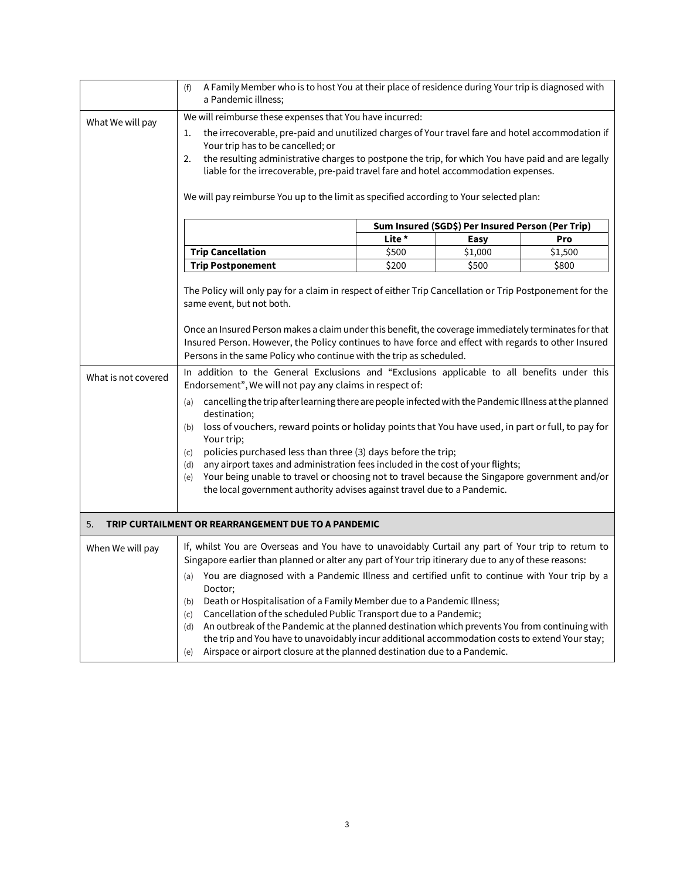|                           | A Family Member who is to host You at their place of residence during Your trip is diagnosed with<br>(f)<br>a Pandemic illness;                                                                                                                                                                                                                                                                                                                                                                                                                                                                                                                                                                                                                                                                                                                                                                                                                                                                                                                                                                                                                                                                        |        |                                                                  |         |  |
|---------------------------|--------------------------------------------------------------------------------------------------------------------------------------------------------------------------------------------------------------------------------------------------------------------------------------------------------------------------------------------------------------------------------------------------------------------------------------------------------------------------------------------------------------------------------------------------------------------------------------------------------------------------------------------------------------------------------------------------------------------------------------------------------------------------------------------------------------------------------------------------------------------------------------------------------------------------------------------------------------------------------------------------------------------------------------------------------------------------------------------------------------------------------------------------------------------------------------------------------|--------|------------------------------------------------------------------|---------|--|
| What We will pay          | We will reimburse these expenses that You have incurred:<br>the irrecoverable, pre-paid and unutilized charges of Your travel fare and hotel accommodation if<br>1.<br>Your trip has to be cancelled; or<br>the resulting administrative charges to postpone the trip, for which You have paid and are legally<br>2.<br>liable for the irrecoverable, pre-paid travel fare and hotel accommodation expenses.<br>We will pay reimburse You up to the limit as specified according to Your selected plan:                                                                                                                                                                                                                                                                                                                                                                                                                                                                                                                                                                                                                                                                                                |        |                                                                  |         |  |
|                           |                                                                                                                                                                                                                                                                                                                                                                                                                                                                                                                                                                                                                                                                                                                                                                                                                                                                                                                                                                                                                                                                                                                                                                                                        |        |                                                                  |         |  |
|                           |                                                                                                                                                                                                                                                                                                                                                                                                                                                                                                                                                                                                                                                                                                                                                                                                                                                                                                                                                                                                                                                                                                                                                                                                        | Lite * | Sum Insured (SGD\$) Per Insured Person (Per Trip)<br><b>Easy</b> | Pro     |  |
|                           | <b>Trip Cancellation</b>                                                                                                                                                                                                                                                                                                                                                                                                                                                                                                                                                                                                                                                                                                                                                                                                                                                                                                                                                                                                                                                                                                                                                                               | \$500  | \$1,000                                                          | \$1,500 |  |
|                           | <b>Trip Postponement</b>                                                                                                                                                                                                                                                                                                                                                                                                                                                                                                                                                                                                                                                                                                                                                                                                                                                                                                                                                                                                                                                                                                                                                                               | \$200  | \$500                                                            | \$800   |  |
| What is not covered<br>5. | The Policy will only pay for a claim in respect of either Trip Cancellation or Trip Postponement for the<br>same event, but not both.<br>Once an Insured Person makes a claim under this benefit, the coverage immediately terminates for that<br>Insured Person. However, the Policy continues to have force and effect with regards to other Insured<br>Persons in the same Policy who continue with the trip as scheduled.<br>In addition to the General Exclusions and "Exclusions applicable to all benefits under this<br>Endorsement", We will not pay any claims in respect of:<br>cancelling the trip after learning there are people infected with the Pandemic Illness at the planned<br>(a)<br>destination;<br>loss of vouchers, reward points or holiday points that You have used, in part or full, to pay for<br>(b)<br>Your trip;<br>policies purchased less than three (3) days before the trip;<br>(c)<br>any airport taxes and administration fees included in the cost of your flights;<br>(d)<br>Your being unable to travel or choosing not to travel because the Singapore government and/or<br>(e)<br>the local government authority advises against travel due to a Pandemic. |        |                                                                  |         |  |
|                           | TRIP CURTAILMENT OR REARRANGEMENT DUE TO A PANDEMIC                                                                                                                                                                                                                                                                                                                                                                                                                                                                                                                                                                                                                                                                                                                                                                                                                                                                                                                                                                                                                                                                                                                                                    |        |                                                                  |         |  |
| When We will pay          | If, whilst You are Overseas and You have to unavoidably Curtail any part of Your trip to return to<br>Singapore earlier than planned or alter any part of Your trip itinerary due to any of these reasons:<br>(a) You are diagnosed with a Pandemic Illness and certified unfit to continue with Your trip by a<br>Doctor;<br>Death or Hospitalisation of a Family Member due to a Pandemic Illness;<br>(b)<br>Cancellation of the scheduled Public Transport due to a Pandemic;<br>(c)<br>An outbreak of the Pandemic at the planned destination which prevents You from continuing with<br>(d)<br>the trip and You have to unavoidably incur additional accommodation costs to extend Your stay;<br>Airspace or airport closure at the planned destination due to a Pandemic.<br>(e)                                                                                                                                                                                                                                                                                                                                                                                                                 |        |                                                                  |         |  |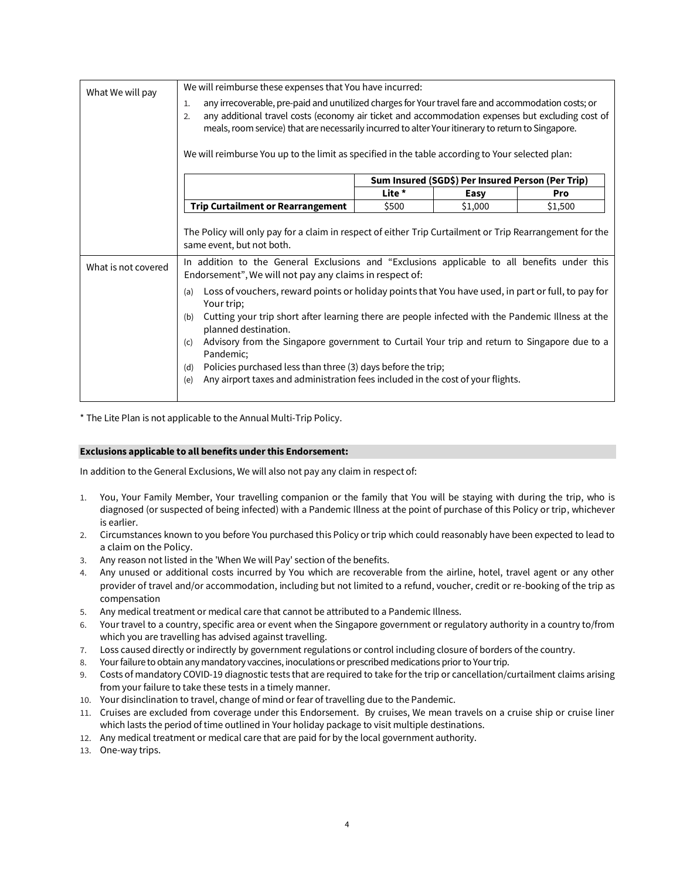| What We will pay    | We will reimburse these expenses that You have incurred:                                                                                                                                                                                                                                                                                                                                                                                                                                                                                        |        |                                                   |         |
|---------------------|-------------------------------------------------------------------------------------------------------------------------------------------------------------------------------------------------------------------------------------------------------------------------------------------------------------------------------------------------------------------------------------------------------------------------------------------------------------------------------------------------------------------------------------------------|--------|---------------------------------------------------|---------|
|                     | any irrecoverable, pre-paid and unutilized charges for Your travel fare and accommodation costs; or<br>$\mathbf{1}$ .<br>any additional travel costs (economy air ticket and accommodation expenses but excluding cost of<br>2.<br>meals, room service) that are necessarily incurred to alter Your itinerary to return to Singapore.<br>We will reimburse You up to the limit as specified in the table according to Your selected plan:                                                                                                       |        |                                                   |         |
|                     |                                                                                                                                                                                                                                                                                                                                                                                                                                                                                                                                                 |        | Sum Insured (SGD\$) Per Insured Person (Per Trip) |         |
|                     |                                                                                                                                                                                                                                                                                                                                                                                                                                                                                                                                                 | Lite * | Easy                                              | Pro     |
|                     | <b>Trip Curtailment or Rearrangement</b>                                                                                                                                                                                                                                                                                                                                                                                                                                                                                                        | \$500  | \$1,000                                           | \$1,500 |
| What is not covered | The Policy will only pay for a claim in respect of either Trip Curtailment or Trip Rearrangement for the<br>same event, but not both.<br>In addition to the General Exclusions and "Exclusions applicable to all benefits under this<br>Endorsement", We will not pay any claims in respect of:                                                                                                                                                                                                                                                 |        |                                                   |         |
|                     | Loss of vouchers, reward points or holiday points that You have used, in part or full, to pay for<br>(a)<br>Your trip;<br>Cutting your trip short after learning there are people infected with the Pandemic Illness at the<br>(b)<br>planned destination.<br>Advisory from the Singapore government to Curtail Your trip and return to Singapore due to a<br>(c)<br>Pandemic;<br>Policies purchased less than three (3) days before the trip;<br>(d)<br>Any airport taxes and administration fees included in the cost of your flights.<br>(e) |        |                                                   |         |

\* The Lite Plan is not applicable to the Annual Multi-Trip Policy.

## **Exclusions applicable to all benefits under this Endorsement:**

In addition to the General Exclusions, We will also not pay any claim in respect of:

- 1. You, Your Family Member, Your travelling companion or the family that You will be staying with during the trip, who is diagnosed (or suspected of being infected) with a Pandemic Illness at the point of purchase of this Policy or trip, whichever is earlier.
- 2. Circumstances known to you before You purchased this Policy or trip which could reasonably have been expected to lead to a claim on the Policy.
- 3. Any reason not listed in the 'When We will Pay' section of the benefits.
- 4. Any unused or additional costs incurred by You which are recoverable from the airline, hotel, travel agent or any other provider of travel and/or accommodation, including but not limited to a refund, voucher, credit or re-booking of the trip as compensation
- 5. Any medical treatment or medical care that cannot be attributed to a Pandemic Illness.
- 6. Your travel to a country, specific area or event when the Singapore government or regulatory authority in a country to/from which you are travelling has advised against travelling.
- 7. Loss caused directly or indirectly by government regulations or control including closure of borders of the country.
- 8. Your failure to obtain any mandatory vaccines, inoculations or prescribed medications prior to Your trip.
- 9. Costs of mandatory COVID-19 diagnostic tests that are required to take for the trip or cancellation/curtailment claims arising from your failure to take these tests in a timely manner.
- 10. Your disinclination to travel, change of mind or fear of travelling due to the Pandemic.
- 11. Cruises are excluded from coverage under this Endorsement. By cruises, We mean travels on a cruise ship or cruise liner which lasts the period of time outlined in Your holiday package to visit multiple destinations.
- 12. Any medical treatment or medical care that are paid for by the local government authority.
- 13. One-way trips.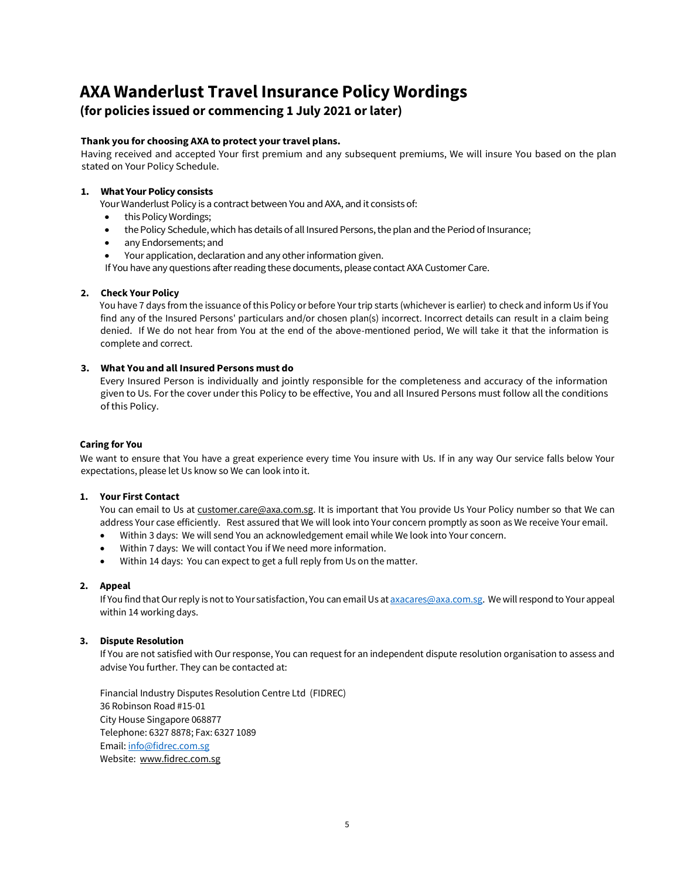# **AXA Wanderlust Travel Insurance Policy Wordings**

## **(for policies issued or commencing 1 July 2021 or later)**

## **Thank you for choosing AXA to protect your travel plans.**

Having received and accepted Your first premium and any subsequent premiums, We will insure You based on the plan stated on Your Policy Schedule.

## **1. What Your Policy consists**

Your Wanderlust Policy is a contract between You and AXA, and it consists of:

- this Policy Wordings;
- the Policy Schedule, which has details of all Insured Persons, the plan and the Period of Insurance;
- any Endorsements; and
- Your application, declaration and any other information given.

If You have any questions after reading these documents, please contact AXA Customer Care.

## **2. Check Your Policy**

You have 7 days from the issuance of this Policy or before Your trip starts (whichever is earlier) to check and inform Us if You find any of the Insured Persons' particulars and/or chosen plan(s) incorrect. Incorrect details can result in a claim being denied. If We do not hear from You at the end of the above-mentioned period, We will take it that the information is complete and correct.

## **3. What You and all Insured Persons must do**

Every Insured Person is individually and jointly responsible for the completeness and accuracy of the information given to Us. For the cover under this Policy to be effective, You and all Insured Persons must follow all the conditions of this Policy.

## **Caring for You**

We want to ensure that You have a great experience every time You insure with Us. If in any way Our service falls below Your expectations, please let Us know so We can look into it.

## **1. Your First Contact**

You can email to Us at customer.care@axa.com.sg. It is important that You provide Us Your Policy number so that We can address Your case efficiently. Rest assured that We will look into Your concern promptly as soon as We receive Your email.

- Within 3 days: We will send You an acknowledgement email while We look into Your concern.
- Within 7 days: We will contact You if We need more information.
- Within 14 days: You can expect to get a full reply from Us on the matter.

## **2. Appeal**

If You find that Our reply is not to Your satisfaction, You can email Us at **axacares@axa.com.sg**. We will respond to Your appeal within 14 working days.

## **3. Dispute Resolution**

If You are not satisfied with Our response, You can request for an independent dispute resolution organisation to assess and advise You further. They can be contacted at:

Financial Industry Disputes Resolution Centre Ltd (FIDREC) 36 Robinson Road #15-01 City House Singapore 068877 Telephone: 6327 8878; Fax: 6327 1089 Email[: info@fidrec.com.sg](mailto:info@fidrec.com.sg) Website: [www.fidrec.com.sg](http://www.fidrec.com.sg/)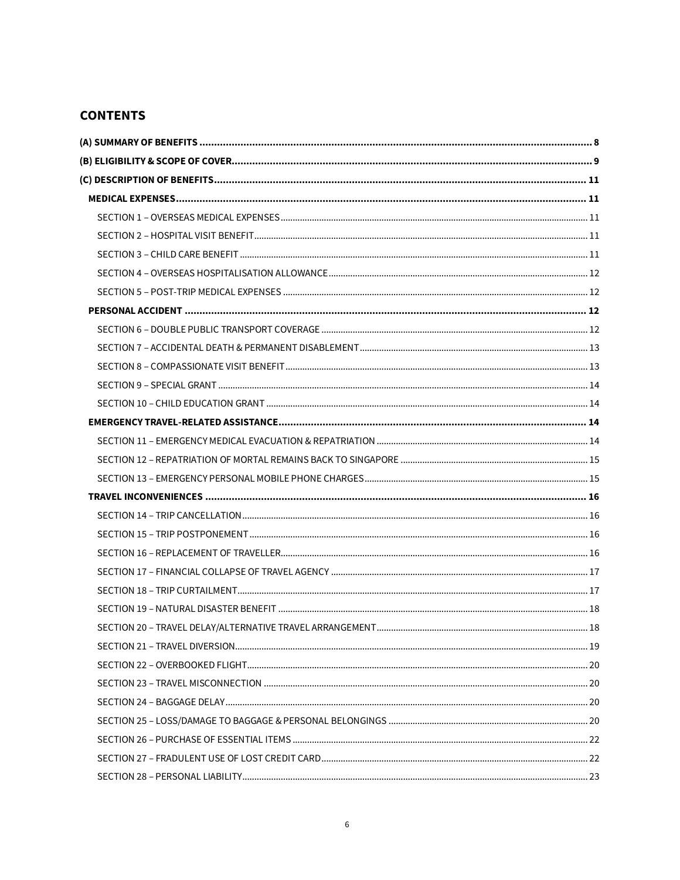# **CONTENTS**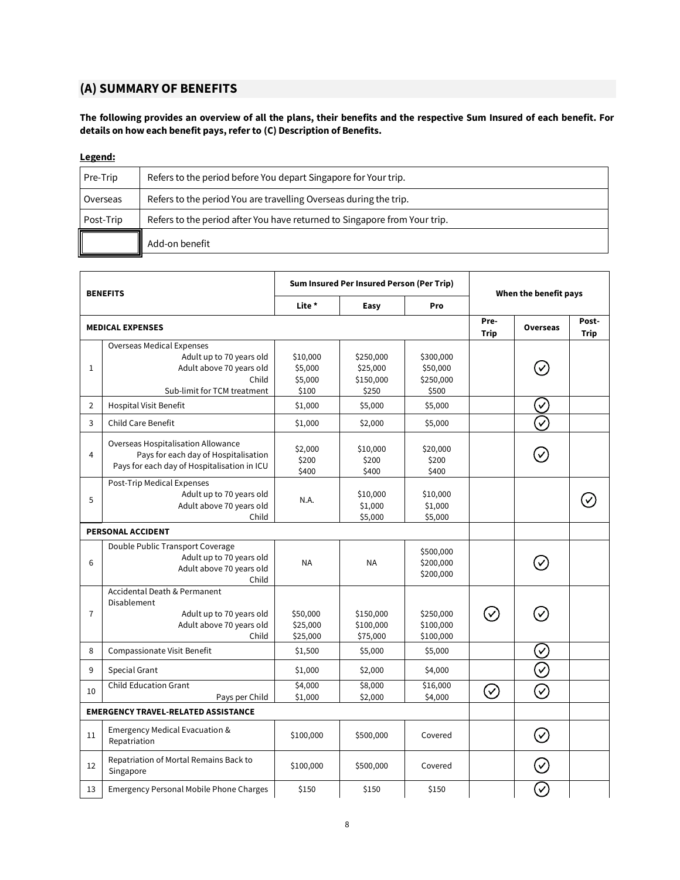# <span id="page-7-0"></span>**(A) SUMMARY OF BENEFITS**

**The following provides an overview of all the plans, their benefits and the respective Sum Insured of each benefit. For details on how each benefit pays, refer to (C) Description of Benefits.**

## **Legend:**

| Pre-Trip  | Refers to the period before You depart Singapore for Your trip.           |
|-----------|---------------------------------------------------------------------------|
| Overseas  | Refers to the period You are travelling Overseas during the trip.         |
| Post-Trip | Refers to the period after You have returned to Singapore from Your trip. |
|           | Add-on benefit                                                            |

| <b>BENEFITS</b>                            |                                                                                                                                  | Sum Insured Per Insured Person (Per Trip) |                                             | When the benefit pays                       |                     |                            |                      |
|--------------------------------------------|----------------------------------------------------------------------------------------------------------------------------------|-------------------------------------------|---------------------------------------------|---------------------------------------------|---------------------|----------------------------|----------------------|
|                                            |                                                                                                                                  | Lite *                                    | Easy                                        | Pro                                         |                     |                            |                      |
|                                            | <b>MEDICAL EXPENSES</b>                                                                                                          |                                           |                                             |                                             | Pre-<br><b>Trip</b> | <b>Overseas</b>            | Post-<br><b>Trip</b> |
| $\mathbf{1}$                               | <b>Overseas Medical Expenses</b><br>Adult up to 70 years old<br>Adult above 70 years old<br>Child<br>Sub-limit for TCM treatment | \$10,000<br>\$5,000<br>\$5,000<br>\$100   | \$250,000<br>\$25,000<br>\$150,000<br>\$250 | \$300,000<br>\$50,000<br>\$250,000<br>\$500 |                     |                            |                      |
| $\overline{2}$                             | <b>Hospital Visit Benefit</b>                                                                                                    | \$1,000                                   | \$5,000                                     | \$5,000                                     |                     | $(\checkmark)$             |                      |
| 3                                          | <b>Child Care Benefit</b>                                                                                                        | \$1,000                                   | \$2,000                                     | \$5,000                                     |                     | ্য                         |                      |
| $\overline{4}$                             | <b>Overseas Hospitalisation Allowance</b><br>Pays for each day of Hospitalisation<br>Pays for each day of Hospitalisation in ICU | \$2,000<br>\$200<br>\$400                 | \$10,000<br>\$200<br>\$400                  | \$20,000<br>\$200<br>\$400                  |                     |                            |                      |
| 5                                          | Post-Trip Medical Expenses<br>Adult up to 70 years old<br>Adult above 70 years old<br>Child                                      | N.A.                                      | \$10,000<br>\$1,000<br>\$5,000              | \$10,000<br>\$1,000<br>\$5,000              |                     |                            |                      |
|                                            | <b>PERSONAL ACCIDENT</b>                                                                                                         |                                           |                                             |                                             |                     |                            |                      |
| 6                                          | Double Public Transport Coverage<br>Adult up to 70 years old<br>Adult above 70 years old<br>Child                                | <b>NA</b>                                 | <b>NA</b>                                   | \$500,000<br>\$200,000<br>\$200,000         |                     |                            |                      |
| $\overline{7}$                             | Accidental Death & Permanent<br><b>Disablement</b><br>Adult up to 70 years old<br>Adult above 70 years old<br>Child              | \$50,000<br>\$25,000<br>\$25,000          | \$150,000<br>\$100,000<br>\$75,000          | \$250,000<br>\$100,000<br>\$100,000         | $\checkmark$        |                            |                      |
| 8                                          | Compassionate Visit Benefit                                                                                                      | \$1,500                                   | \$5,000                                     | \$5,000                                     |                     | $\mathcal{S}$              |                      |
| 9                                          | Special Grant                                                                                                                    | \$1,000                                   | \$2,000                                     | \$4,000                                     |                     | $\widehat{\checkmark}$     |                      |
| 10                                         | <b>Child Education Grant</b><br>Pays per Child                                                                                   | \$4,000<br>\$1,000                        | \$8,000<br>\$2,000                          | \$16,000<br>\$4,000                         | $\oslash$           | $(\!\mathcal{S}\!)$        |                      |
| <b>EMERGENCY TRAVEL-RELATED ASSISTANCE</b> |                                                                                                                                  |                                           |                                             |                                             |                     |                            |                      |
| 11                                         | Emergency Medical Evacuation &<br>Repatriation                                                                                   | \$100,000                                 | \$500,000                                   | Covered                                     |                     | $\left(\mathcal{S}\right)$ |                      |
| 12                                         | Repatriation of Mortal Remains Back to<br>Singapore                                                                              | \$100,000                                 | \$500,000                                   | Covered                                     |                     | $\sqrt{}$                  |                      |
| 13                                         | <b>Emergency Personal Mobile Phone Charges</b>                                                                                   | \$150                                     | \$150                                       | \$150                                       |                     | $(\checkmark)$             |                      |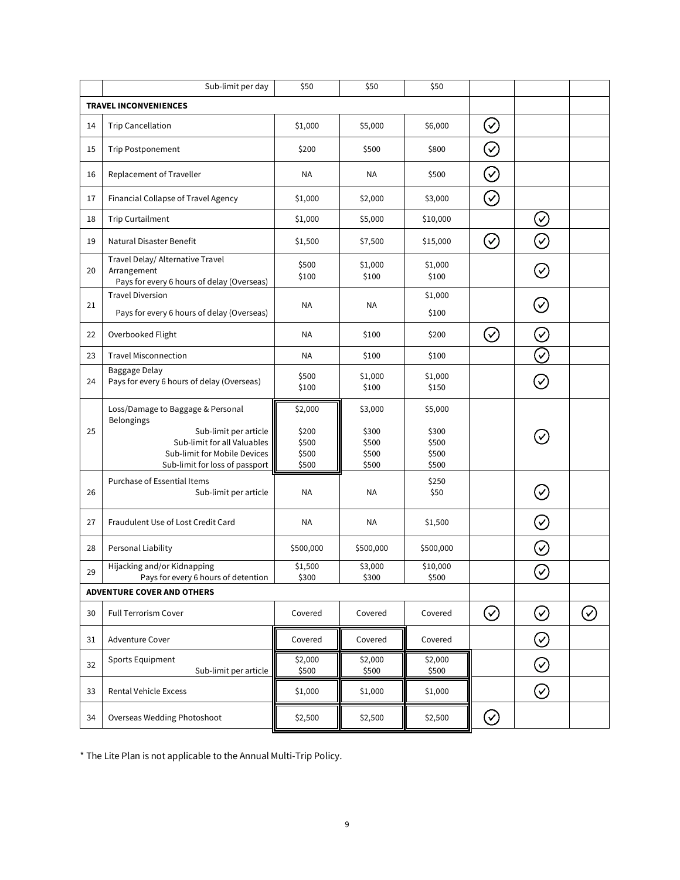|    | Sub-limit per day                                                                                                      | \$50                             | \$50                             | \$50                             |           |                                 |           |
|----|------------------------------------------------------------------------------------------------------------------------|----------------------------------|----------------------------------|----------------------------------|-----------|---------------------------------|-----------|
|    | <b>TRAVEL INCONVENIENCES</b>                                                                                           |                                  |                                  |                                  |           |                                 |           |
| 14 | <b>Trip Cancellation</b>                                                                                               | \$1,000                          | \$5,000                          | \$6,000                          | $\oslash$ |                                 |           |
| 15 | <b>Trip Postponement</b>                                                                                               | \$200                            | \$500                            | \$800                            | $\oslash$ |                                 |           |
| 16 | Replacement of Traveller                                                                                               | <b>NA</b>                        | NA                               | \$500                            | $\oslash$ |                                 |           |
| 17 | Financial Collapse of Travel Agency                                                                                    | \$1,000                          | \$2,000                          | \$3,000                          | $\oslash$ |                                 |           |
| 18 | <b>Trip Curtailment</b>                                                                                                | \$1,000                          | \$5,000                          | \$10,000                         |           | $\oslash$                       |           |
| 19 | Natural Disaster Benefit                                                                                               | \$1,500                          | \$7,500                          | \$15,000                         | $\oslash$ | $\rm \big\{ \mathcal{C} \big\}$ |           |
| 20 | Travel Delay/ Alternative Travel<br>Arrangement<br>Pays for every 6 hours of delay (Overseas)                          | \$500<br>\$100                   | \$1,000<br>\$100                 | \$1,000<br>\$100                 |           | $(\check{<})$                   |           |
| 21 | <b>Travel Diversion</b><br>Pays for every 6 hours of delay (Overseas)                                                  | <b>NA</b>                        | ΝA                               | \$1,000<br>\$100                 |           | $\oslash$                       |           |
| 22 | Overbooked Flight                                                                                                      | <b>NA</b>                        | \$100                            | \$200                            | $\oslash$ | $\oslash$                       |           |
| 23 | <b>Travel Misconnection</b>                                                                                            | <b>NA</b>                        | \$100                            | \$100                            |           | $\oslash$                       |           |
| 24 | Baggage Delay<br>Pays for every 6 hours of delay (Overseas)                                                            | \$500<br>\$100                   | \$1,000<br>\$100                 | \$1,000<br>\$150                 |           | $(\checkmark)$                  |           |
|    | Loss/Damage to Baggage & Personal<br>Belongings                                                                        | \$2,000                          | \$3,000                          | \$5,000                          |           |                                 |           |
| 25 | Sub-limit per article<br>Sub-limit for all Valuables<br>Sub-limit for Mobile Devices<br>Sub-limit for loss of passport | \$200<br>\$500<br>\$500<br>\$500 | \$300<br>\$500<br>\$500<br>\$500 | \$300<br>\$500<br>\$500<br>\$500 |           | $\checkmark$                    |           |
| 26 | Purchase of Essential Items<br>Sub-limit per article                                                                   | <b>NA</b>                        | <b>NA</b>                        | \$250<br>\$50                    |           | $\left( \mathcal{S}\right)$     |           |
| 27 | Fraudulent Use of Lost Credit Card                                                                                     | <b>NA</b>                        | NA                               | \$1,500                          |           | $(\checkmark)$                  |           |
| 28 | Personal Liability                                                                                                     | \$500,000                        | \$500,000                        | \$500,000                        |           | $(\checkmark)$                  |           |
| 29 | Hijacking and/or Kidnapping<br>Pays for every 6 hours of detention                                                     | \$1,500<br>\$300                 | \$3,000<br>\$300                 | \$10,000<br>\$500                |           | $\oslash$                       |           |
|    | <b>ADVENTURE COVER AND OTHERS</b>                                                                                      |                                  |                                  |                                  |           |                                 |           |
| 30 | <b>Full Terrorism Cover</b>                                                                                            | Covered                          | Covered                          | Covered                          | $\odot$   | $\oslash$                       | $\oslash$ |
| 31 | Adventure Cover                                                                                                        | Covered                          | Covered                          | Covered                          |           | $\oslash$                       |           |
| 32 | Sports Equipment<br>Sub-limit per article                                                                              | \$2,000<br>\$500                 | \$2,000<br>\$500                 | \$2,000<br>\$500                 |           | $\oslash$                       |           |
| 33 | Rental Vehicle Excess                                                                                                  | \$1,000                          | \$1,000                          | \$1,000                          |           | $\oslash$                       |           |
| 34 | <b>Overseas Wedding Photoshoot</b>                                                                                     | \$2,500                          | \$2,500                          | \$2,500                          | $\oslash$ |                                 |           |

<span id="page-8-0"></span>\* The Lite Plan is not applicable to the Annual Multi-Trip Policy.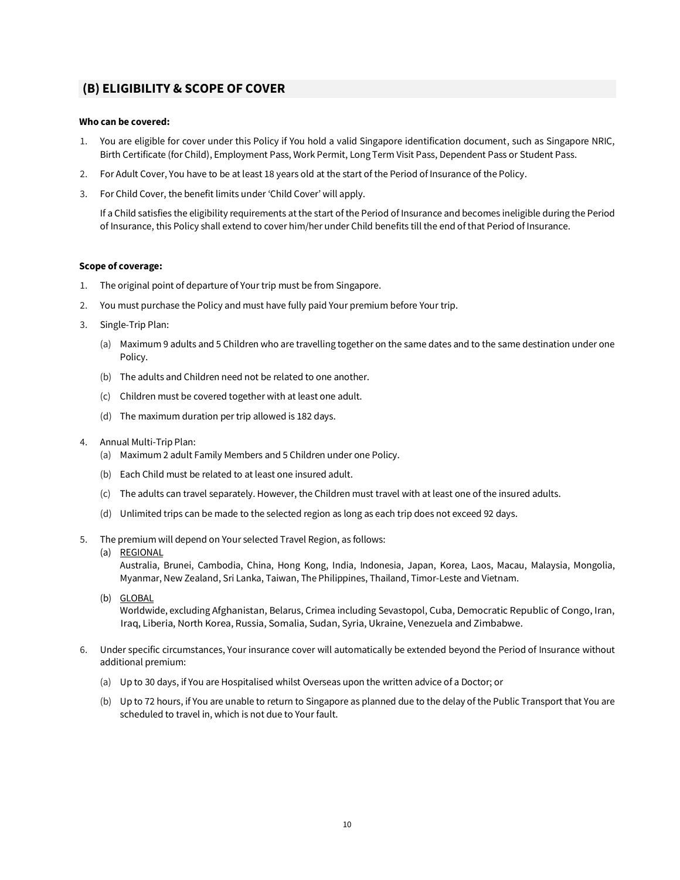## **(B) ELIGIBILITY & SCOPE OF COVER**

#### **Who can be covered:**

- 1. You are eligible for cover under this Policy if You hold a valid Singapore identification document, such as Singapore NRIC, Birth Certificate (for Child), Employment Pass, Work Permit, Long Term Visit Pass, Dependent Pass or Student Pass.
- 2. For Adult Cover, You have to be at least 18 years old at the start of the Period of Insurance of the Policy.
- 3. For Child Cover, the benefit limits under 'Child Cover' will apply.

If a Child satisfies the eligibility requirements at the start of the Period of Insurance and becomes ineligible during the Period of Insurance, this Policy shall extend to cover him/her under Child benefits till the end of that Period of Insurance.

#### **Scope of coverage:**

- 1. The original point of departure of Your trip must be from Singapore.
- 2. You must purchase the Policy and must have fully paid Your premium before Your trip.
- 3. Single-Trip Plan:
	- (a) Maximum 9 adults and 5 Children who are travelling together on the same dates and to the same destination under one Policy.
	- (b) The adults and Children need not be related to one another.
	- (c) Children must be covered together with at least one adult.
	- (d) The maximum duration per trip allowed is 182 days.
- 4. Annual Multi-Trip Plan:
	- (a) Maximum 2 adult Family Members and 5 Children under one Policy.
	- (b) Each Child must be related to at least one insured adult.
	- (c) The adults can travel separately. However, the Children must travel with at least one of the insured adults.
	- (d) Unlimited trips can be made to the selected region as long as each trip does not exceed 92 days.
- 5. The premium will depend on Your selected Travel Region, as follows:
	- (a) REGIONAL

Australia, Brunei, Cambodia, China, Hong Kong, India, Indonesia, Japan, Korea, Laos, Macau, Malaysia, Mongolia, Myanmar, New Zealand, Sri Lanka, Taiwan, The Philippines, Thailand, Timor-Leste and Vietnam.

(b) GLOBAL

Worldwide, excluding Afghanistan, Belarus, Crimea including Sevastopol, Cuba, Democratic Republic of Congo, Iran, Iraq, Liberia, North Korea, Russia, Somalia, Sudan, Syria, Ukraine, Venezuela and Zimbabwe.

- <span id="page-9-0"></span>6. Under specific circumstances, Your insurance cover will automatically be extended beyond the Period of Insurance without additional premium:
	- (a) Up to 30 days, if You are Hospitalised whilst Overseas upon the written advice of a Doctor; or
	- (b) Up to 72 hours, if You are unable to return to Singapore as planned due to the delay of the Public Transport that You are scheduled to travel in, which is not due to Your fault.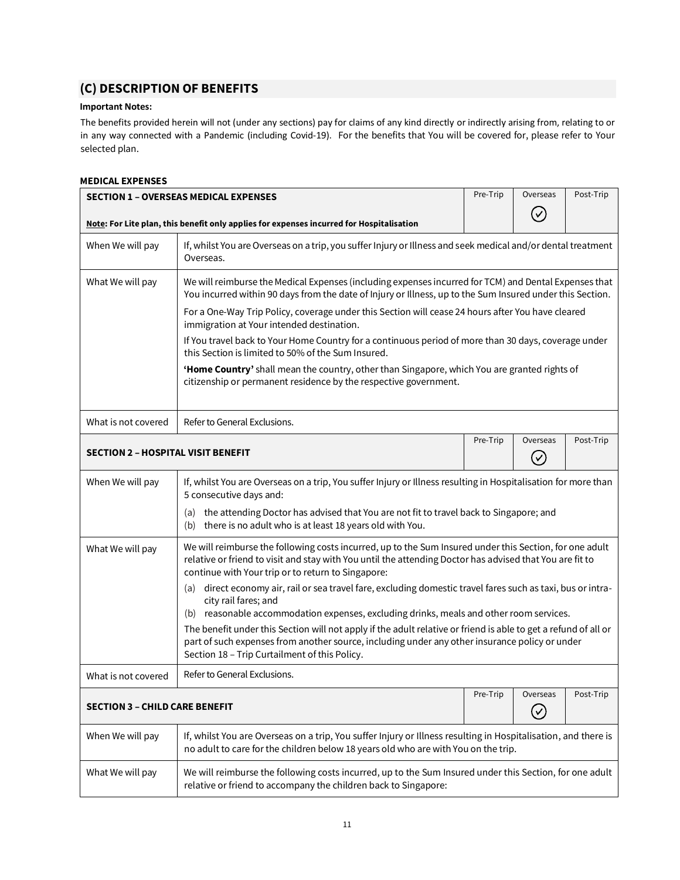# **(C) DESCRIPTION OF BENEFITS**

## **Important Notes:**

The benefits provided herein will not (under any sections) pay for claims of any kind directly or indirectly arising from, relating to or in any way connected with a Pandemic (including Covid-19). For the benefits that You will be covered for, please refer to Your selected plan.

## <span id="page-10-0"></span>**MEDICAL EXPENSES**

<span id="page-10-2"></span><span id="page-10-1"></span>

| <b>SECTION 1 - OVERSEAS MEDICAL EXPENSES</b>                                                                                                                                                   |                                                                                                                                                                                                                                                                           | Pre-Trip | Overseas                   | Post-Trip |  |  |
|------------------------------------------------------------------------------------------------------------------------------------------------------------------------------------------------|---------------------------------------------------------------------------------------------------------------------------------------------------------------------------------------------------------------------------------------------------------------------------|----------|----------------------------|-----------|--|--|
|                                                                                                                                                                                                | Note: For Lite plan, this benefit only applies for expenses incurred for Hospitalisation                                                                                                                                                                                  |          |                            |           |  |  |
| When We will pay                                                                                                                                                                               | If, whilst You are Overseas on a trip, you suffer Injury or Illness and seek medical and/or dental treatment<br>Overseas.                                                                                                                                                 |          |                            |           |  |  |
| What We will pay                                                                                                                                                                               | We will reimburse the Medical Expenses (including expenses incurred for TCM) and Dental Expenses that<br>You incurred within 90 days from the date of Injury or Illness, up to the Sum Insured under this Section.                                                        |          |                            |           |  |  |
|                                                                                                                                                                                                | For a One-Way Trip Policy, coverage under this Section will cease 24 hours after You have cleared<br>immigration at Your intended destination.                                                                                                                            |          |                            |           |  |  |
|                                                                                                                                                                                                | If You travel back to Your Home Country for a continuous period of more than 30 days, coverage under<br>this Section is limited to 50% of the Sum Insured.                                                                                                                |          |                            |           |  |  |
|                                                                                                                                                                                                | 'Home Country' shall mean the country, other than Singapore, which You are granted rights of<br>citizenship or permanent residence by the respective government.                                                                                                          |          |                            |           |  |  |
| What is not covered                                                                                                                                                                            | Refer to General Exclusions.                                                                                                                                                                                                                                              |          |                            |           |  |  |
| <b>SECTION 2 - HOSPITAL VISIT BENEFIT</b>                                                                                                                                                      |                                                                                                                                                                                                                                                                           |          | Overseas<br>$(\checkmark)$ | Post-Trip |  |  |
| When We will pay                                                                                                                                                                               | If, whilst You are Overseas on a trip, You suffer Injury or Illness resulting in Hospitalisation for more than<br>5 consecutive days and:                                                                                                                                 |          |                            |           |  |  |
|                                                                                                                                                                                                | the attending Doctor has advised that You are not fit to travel back to Singapore; and<br>(a)<br>there is no adult who is at least 18 years old with You.<br>(b)                                                                                                          |          |                            |           |  |  |
| What We will pay                                                                                                                                                                               | We will reimburse the following costs incurred, up to the Sum Insured under this Section, for one adult<br>relative or friend to visit and stay with You until the attending Doctor has advised that You are fit to<br>continue with Your trip or to return to Singapore: |          |                            |           |  |  |
|                                                                                                                                                                                                | direct economy air, rail or sea travel fare, excluding domestic travel fares such as taxi, bus or intra-<br>(a)<br>city rail fares; and<br>(b) reasonable accommodation expenses, excluding drinks, meals and other room services.                                        |          |                            |           |  |  |
|                                                                                                                                                                                                | The benefit under this Section will not apply if the adult relative or friend is able to get a refund of all or<br>part of such expenses from another source, including under any other insurance policy or under<br>Section 18 - Trip Curtailment of this Policy.        |          |                            |           |  |  |
| What is not covered                                                                                                                                                                            | Refer to General Exclusions.                                                                                                                                                                                                                                              |          |                            |           |  |  |
| <b>SECTION 3 - CHILD CARE BENEFIT</b>                                                                                                                                                          |                                                                                                                                                                                                                                                                           |          | Overseas<br>$\oslash$      | Post-Trip |  |  |
| When We will pay                                                                                                                                                                               | If, whilst You are Overseas on a trip, You suffer Injury or Illness resulting in Hospitalisation, and there is<br>no adult to care for the children below 18 years old who are with You on the trip.                                                                      |          |                            |           |  |  |
| We will reimburse the following costs incurred, up to the Sum Insured under this Section, for one adult<br>What We will pay<br>relative or friend to accompany the children back to Singapore: |                                                                                                                                                                                                                                                                           |          |                            |           |  |  |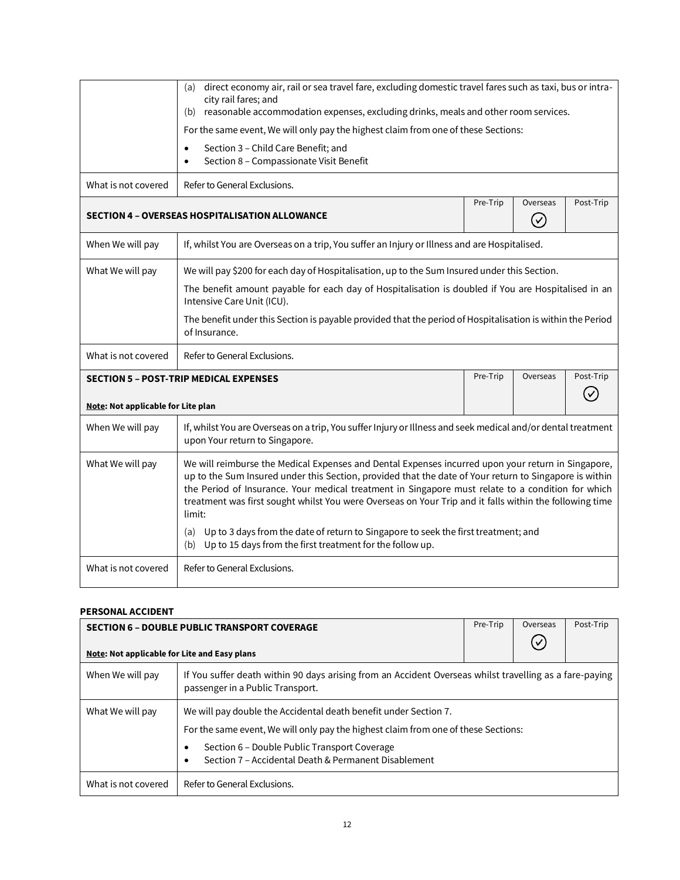<span id="page-11-0"></span>

|                                    | direct economy air, rail or sea travel fare, excluding domestic travel fares such as taxi, bus or intra-<br>(a)                                                                                                                                                                                                                                                                                                                        |          |          |           |  |  |  |
|------------------------------------|----------------------------------------------------------------------------------------------------------------------------------------------------------------------------------------------------------------------------------------------------------------------------------------------------------------------------------------------------------------------------------------------------------------------------------------|----------|----------|-----------|--|--|--|
|                                    | city rail fares; and                                                                                                                                                                                                                                                                                                                                                                                                                   |          |          |           |  |  |  |
|                                    | reasonable accommodation expenses, excluding drinks, meals and other room services.<br>(b)                                                                                                                                                                                                                                                                                                                                             |          |          |           |  |  |  |
|                                    | For the same event, We will only pay the highest claim from one of these Sections:                                                                                                                                                                                                                                                                                                                                                     |          |          |           |  |  |  |
|                                    | Section 3 - Child Care Benefit; and<br>$\bullet$                                                                                                                                                                                                                                                                                                                                                                                       |          |          |           |  |  |  |
|                                    | Section 8 - Compassionate Visit Benefit<br>$\bullet$                                                                                                                                                                                                                                                                                                                                                                                   |          |          |           |  |  |  |
| What is not covered                | Refer to General Exclusions.                                                                                                                                                                                                                                                                                                                                                                                                           |          |          |           |  |  |  |
|                                    |                                                                                                                                                                                                                                                                                                                                                                                                                                        | Pre-Trip | Overseas | Post-Trip |  |  |  |
|                                    | <b>SECTION 4 - OVERSEAS HOSPITALISATION ALLOWANCE</b>                                                                                                                                                                                                                                                                                                                                                                                  |          | $(\vee)$ |           |  |  |  |
| When We will pay                   | If, whilst You are Overseas on a trip, You suffer an Injury or Illness and are Hospitalised.                                                                                                                                                                                                                                                                                                                                           |          |          |           |  |  |  |
| What We will pay                   | We will pay \$200 for each day of Hospitalisation, up to the Sum Insured under this Section.                                                                                                                                                                                                                                                                                                                                           |          |          |           |  |  |  |
|                                    | The benefit amount payable for each day of Hospitalisation is doubled if You are Hospitalised in an<br>Intensive Care Unit (ICU).                                                                                                                                                                                                                                                                                                      |          |          |           |  |  |  |
|                                    | The benefit under this Section is payable provided that the period of Hospitalisation is within the Period<br>of Insurance.                                                                                                                                                                                                                                                                                                            |          |          |           |  |  |  |
| What is not covered                | Refer to General Exclusions.                                                                                                                                                                                                                                                                                                                                                                                                           |          |          |           |  |  |  |
|                                    | <b>SECTION 5 - POST-TRIP MEDICAL EXPENSES</b>                                                                                                                                                                                                                                                                                                                                                                                          | Pre-Trip | Overseas | Post-Trip |  |  |  |
|                                    |                                                                                                                                                                                                                                                                                                                                                                                                                                        |          |          |           |  |  |  |
| Note: Not applicable for Lite plan |                                                                                                                                                                                                                                                                                                                                                                                                                                        |          |          |           |  |  |  |
| When We will pay                   | If, whilst You are Overseas on a trip, You suffer Injury or Illness and seek medical and/or dental treatment<br>upon Your return to Singapore.                                                                                                                                                                                                                                                                                         |          |          |           |  |  |  |
| What We will pay                   | We will reimburse the Medical Expenses and Dental Expenses incurred upon your return in Singapore,<br>up to the Sum Insured under this Section, provided that the date of Your return to Singapore is within<br>the Period of Insurance. Your medical treatment in Singapore must relate to a condition for which<br>treatment was first sought whilst You were Overseas on Your Trip and it falls within the following time<br>limit: |          |          |           |  |  |  |
|                                    | (a) Up to 3 days from the date of return to Singapore to seek the first treatment; and<br>(b) Up to 15 days from the first treatment for the follow up.                                                                                                                                                                                                                                                                                |          |          |           |  |  |  |
| What is not covered                | Refer to General Exclusions.                                                                                                                                                                                                                                                                                                                                                                                                           |          |          |           |  |  |  |

## <span id="page-11-2"></span><span id="page-11-1"></span>**PERSONAL ACCIDENT**

<span id="page-11-3"></span>

| <b>SECTION 6 - DOUBLE PUBLIC TRANSPORT COVERAGE</b> |                                                                                                                                                                                                                                                                | Pre-Trip | Overseas | Post-Trip |  |
|-----------------------------------------------------|----------------------------------------------------------------------------------------------------------------------------------------------------------------------------------------------------------------------------------------------------------------|----------|----------|-----------|--|
| Note: Not applicable for Lite and Easy plans        |                                                                                                                                                                                                                                                                |          |          |           |  |
| When We will pay                                    | If You suffer death within 90 days arising from an Accident Overseas whilst travelling as a fare-paying<br>passenger in a Public Transport.                                                                                                                    |          |          |           |  |
| What We will pay                                    | We will pay double the Accidental death benefit under Section 7.<br>For the same event, We will only pay the highest claim from one of these Sections:<br>Section 6 - Double Public Transport Coverage<br>Section 7 - Accidental Death & Permanent Disablement |          |          |           |  |
| What is not covered                                 | Refer to General Exclusions.                                                                                                                                                                                                                                   |          |          |           |  |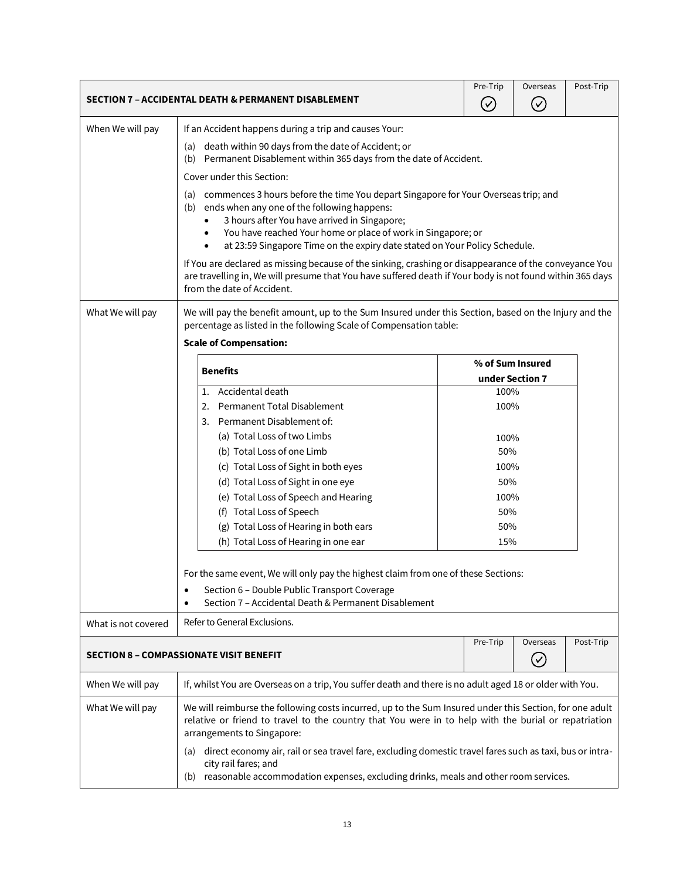<span id="page-12-1"></span><span id="page-12-0"></span>

|                                                                                   | SECTION 7 - ACCIDENTAL DEATH & PERMANENT DISABLEMENT                                                                                                                                                                                                                                                                                               |                                                                                                                                                                                                                 |                  | Post-Trip |  |  |
|-----------------------------------------------------------------------------------|----------------------------------------------------------------------------------------------------------------------------------------------------------------------------------------------------------------------------------------------------------------------------------------------------------------------------------------------------|-----------------------------------------------------------------------------------------------------------------------------------------------------------------------------------------------------------------|------------------|-----------|--|--|
| When We will pay                                                                  | If an Accident happens during a trip and causes Your:                                                                                                                                                                                                                                                                                              |                                                                                                                                                                                                                 |                  |           |  |  |
|                                                                                   | (a) death within 90 days from the date of Accident; or                                                                                                                                                                                                                                                                                             | (b) Permanent Disablement within 365 days from the date of Accident.                                                                                                                                            |                  |           |  |  |
|                                                                                   | Cover under this Section:                                                                                                                                                                                                                                                                                                                          |                                                                                                                                                                                                                 |                  |           |  |  |
|                                                                                   | commences 3 hours before the time You depart Singapore for Your Overseas trip; and<br>(a)<br>ends when any one of the following happens:<br>(b)<br>3 hours after You have arrived in Singapore;<br>You have reached Your home or place of work in Singapore; or<br>at 23:59 Singapore Time on the expiry date stated on Your Policy Schedule.<br>٠ |                                                                                                                                                                                                                 |                  |           |  |  |
|                                                                                   | If You are declared as missing because of the sinking, crashing or disappearance of the conveyance You<br>are travelling in, We will presume that You have suffered death if Your body is not found within 365 days<br>from the date of Accident.                                                                                                  |                                                                                                                                                                                                                 |                  |           |  |  |
| What We will pay                                                                  | We will pay the benefit amount, up to the Sum Insured under this Section, based on the Injury and the<br>percentage as listed in the following Scale of Compensation table:<br><b>Scale of Compensation:</b>                                                                                                                                       |                                                                                                                                                                                                                 |                  |           |  |  |
|                                                                                   |                                                                                                                                                                                                                                                                                                                                                    |                                                                                                                                                                                                                 | % of Sum Insured |           |  |  |
|                                                                                   | <b>Benefits</b>                                                                                                                                                                                                                                                                                                                                    | under Section 7                                                                                                                                                                                                 |                  |           |  |  |
|                                                                                   | Accidental death<br>1.                                                                                                                                                                                                                                                                                                                             | 100%                                                                                                                                                                                                            |                  |           |  |  |
|                                                                                   | Permanent Total Disablement<br>2.                                                                                                                                                                                                                                                                                                                  | 100%                                                                                                                                                                                                            |                  |           |  |  |
|                                                                                   | Permanent Disablement of:<br>3.                                                                                                                                                                                                                                                                                                                    |                                                                                                                                                                                                                 |                  |           |  |  |
|                                                                                   | (a) Total Loss of two Limbs                                                                                                                                                                                                                                                                                                                        | 100%                                                                                                                                                                                                            |                  |           |  |  |
|                                                                                   | (b) Total Loss of one Limb                                                                                                                                                                                                                                                                                                                         | 50%                                                                                                                                                                                                             |                  |           |  |  |
|                                                                                   | (c) Total Loss of Sight in both eyes                                                                                                                                                                                                                                                                                                               | 100%                                                                                                                                                                                                            |                  |           |  |  |
|                                                                                   | (d) Total Loss of Sight in one eye                                                                                                                                                                                                                                                                                                                 | 50%                                                                                                                                                                                                             |                  |           |  |  |
|                                                                                   | (e) Total Loss of Speech and Hearing                                                                                                                                                                                                                                                                                                               | 100%                                                                                                                                                                                                            |                  |           |  |  |
|                                                                                   | (f) Total Loss of Speech                                                                                                                                                                                                                                                                                                                           | 50%                                                                                                                                                                                                             |                  |           |  |  |
|                                                                                   | (g) Total Loss of Hearing in both ears                                                                                                                                                                                                                                                                                                             | 50%                                                                                                                                                                                                             |                  |           |  |  |
|                                                                                   | (h) Total Loss of Hearing in one ear                                                                                                                                                                                                                                                                                                               | 15%                                                                                                                                                                                                             |                  |           |  |  |
|                                                                                   | For the same event, We will only pay the highest claim from one of these Sections:<br>Section 6 - Double Public Transport Coverage<br>٠<br>Section 7 - Accidental Death & Permanent Disablement<br>$\bullet$                                                                                                                                       |                                                                                                                                                                                                                 |                  |           |  |  |
| What is not covered                                                               | Refer to General Exclusions.                                                                                                                                                                                                                                                                                                                       |                                                                                                                                                                                                                 |                  |           |  |  |
| Pre-Trip<br>Overseas<br>SECTION 8 - COMPASSIONATE VISIT BENEFIT<br>$(\checkmark)$ |                                                                                                                                                                                                                                                                                                                                                    |                                                                                                                                                                                                                 | Post-Trip        |           |  |  |
| When We will pay                                                                  | If, whilst You are Overseas on a trip, You suffer death and there is no adult aged 18 or older with You.                                                                                                                                                                                                                                           |                                                                                                                                                                                                                 |                  |           |  |  |
| What We will pay                                                                  | arrangements to Singapore:                                                                                                                                                                                                                                                                                                                         | We will reimburse the following costs incurred, up to the Sum Insured under this Section, for one adult<br>relative or friend to travel to the country that You were in to help with the burial or repatriation |                  |           |  |  |
|                                                                                   | direct economy air, rail or sea travel fare, excluding domestic travel fares such as taxi, bus or intra-<br>(a)<br>city rail fares; and<br>reasonable accommodation expenses, excluding drinks, meals and other room services.<br>(b)                                                                                                              |                                                                                                                                                                                                                 |                  |           |  |  |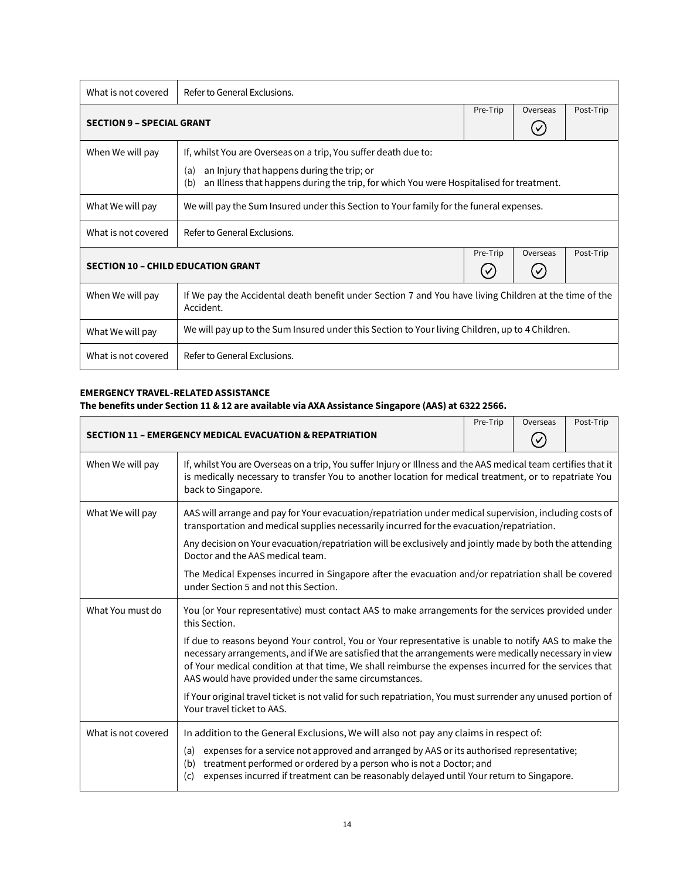<span id="page-13-0"></span>

| What is not covered                                               | Refer to General Exclusions.                                                                                                                                                                                           |          |           |           |
|-------------------------------------------------------------------|------------------------------------------------------------------------------------------------------------------------------------------------------------------------------------------------------------------------|----------|-----------|-----------|
| <b>SECTION 9 - SPECIAL GRANT</b>                                  |                                                                                                                                                                                                                        | Pre-Trip | Overseas  | Post-Trip |
| When We will pay                                                  | If, whilst You are Overseas on a trip, You suffer death due to:<br>an Injury that happens during the trip; or<br>(a)<br>an Illness that happens during the trip, for which You were Hospitalised for treatment.<br>(b) |          |           |           |
| What We will pay                                                  | We will pay the Sum Insured under this Section to Your family for the funeral expenses.                                                                                                                                |          |           |           |
| What is not covered                                               | Refer to General Exclusions.                                                                                                                                                                                           |          |           |           |
| Pre-Trip<br>Overseas<br><b>SECTION 10 - CHILD EDUCATION GRANT</b> |                                                                                                                                                                                                                        |          | Post-Trip |           |
| When We will pay                                                  | If We pay the Accidental death benefit under Section 7 and You have living Children at the time of the<br>Accident.                                                                                                    |          |           |           |
| What We will pay                                                  | We will pay up to the Sum Insured under this Section to Your living Children, up to 4 Children.                                                                                                                        |          |           |           |
| What is not covered                                               | Refer to General Exclusions.                                                                                                                                                                                           |          |           |           |

## <span id="page-13-2"></span><span id="page-13-1"></span>**EMERGENCY TRAVEL-RELATED ASSISTANCE**

## **The benefits under Section 11 & 12 are available via AXA Assistance Singapore (AAS) at 6322 2566.**

<span id="page-13-3"></span>

|                     | <b>SECTION 11 - EMERGENCY MEDICAL EVACUATION &amp; REPATRIATION</b>                                                                                                                                                                                                                                                                                                                | Pre-Trip | Overseas | Post-Trip |
|---------------------|------------------------------------------------------------------------------------------------------------------------------------------------------------------------------------------------------------------------------------------------------------------------------------------------------------------------------------------------------------------------------------|----------|----------|-----------|
| When We will pay    | If, whilst You are Overseas on a trip, You suffer Injury or Illness and the AAS medical team certifies that it<br>is medically necessary to transfer You to another location for medical treatment, or to repatriate You<br>back to Singapore.                                                                                                                                     |          |          |           |
| What We will pay    | AAS will arrange and pay for Your evacuation/repatriation under medical supervision, including costs of<br>transportation and medical supplies necessarily incurred for the evacuation/repatriation.                                                                                                                                                                               |          |          |           |
|                     | Any decision on Your evacuation/repatriation will be exclusively and jointly made by both the attending<br>Doctor and the AAS medical team.                                                                                                                                                                                                                                        |          |          |           |
|                     | The Medical Expenses incurred in Singapore after the evacuation and/or repatriation shall be covered<br>under Section 5 and not this Section.                                                                                                                                                                                                                                      |          |          |           |
| What You must do    | You (or Your representative) must contact AAS to make arrangements for the services provided under<br>this Section.                                                                                                                                                                                                                                                                |          |          |           |
|                     | If due to reasons beyond Your control, You or Your representative is unable to notify AAS to make the<br>necessary arrangements, and if We are satisfied that the arrangements were medically necessary in view<br>of Your medical condition at that time, We shall reimburse the expenses incurred for the services that<br>AAS would have provided under the same circumstances. |          |          |           |
|                     | If Your original travel ticket is not valid for such repatriation, You must surrender any unused portion of<br>Your travel ticket to AAS.                                                                                                                                                                                                                                          |          |          |           |
| What is not covered | In addition to the General Exclusions, We will also not pay any claims in respect of:                                                                                                                                                                                                                                                                                              |          |          |           |
|                     | expenses for a service not approved and arranged by AAS or its authorised representative;<br>(a)<br>treatment performed or ordered by a person who is not a Doctor; and<br>(b)<br>expenses incurred if treatment can be reasonably delayed until Your return to Singapore.<br>(c)                                                                                                  |          |          |           |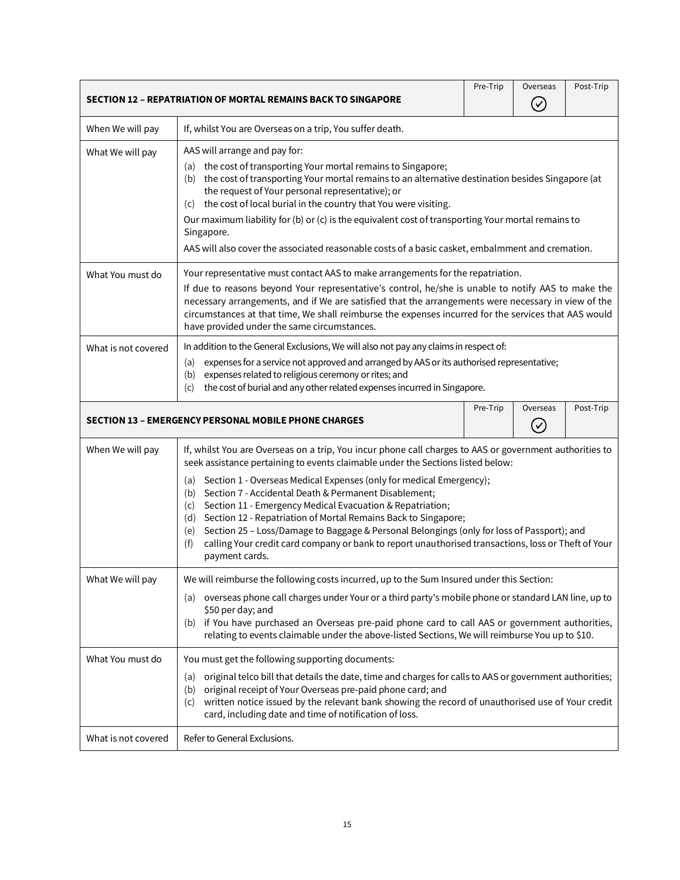<span id="page-14-1"></span><span id="page-14-0"></span>

|                                                                                                                       | SECTION 12 - REPATRIATION OF MORTAL REMAINS BACK TO SINGAPORE                                                                                                                                                                                                                                                                                                                                                                                                                                                                                                 | Pre-Trip | Overseas<br>$(\vee)$ | Post-Trip |  |
|-----------------------------------------------------------------------------------------------------------------------|---------------------------------------------------------------------------------------------------------------------------------------------------------------------------------------------------------------------------------------------------------------------------------------------------------------------------------------------------------------------------------------------------------------------------------------------------------------------------------------------------------------------------------------------------------------|----------|----------------------|-----------|--|
| When We will pay                                                                                                      | If, whilst You are Overseas on a trip, You suffer death.                                                                                                                                                                                                                                                                                                                                                                                                                                                                                                      |          |                      |           |  |
| What We will pay                                                                                                      | AAS will arrange and pay for:<br>(a) the cost of transporting Your mortal remains to Singapore;<br>(b) the cost of transporting Your mortal remains to an alternative destination besides Singapore (at<br>the request of Your personal representative); or<br>the cost of local burial in the country that You were visiting.<br>(C)<br>Our maximum liability for (b) or (c) is the equivalent cost of transporting Your mortal remains to<br>Singapore.<br>AAS will also cover the associated reasonable costs of a basic casket, embalmment and cremation. |          |                      |           |  |
| What You must do                                                                                                      | Your representative must contact AAS to make arrangements for the repatriation.<br>If due to reasons beyond Your representative's control, he/she is unable to notify AAS to make the<br>necessary arrangements, and if We are satisfied that the arrangements were necessary in view of the<br>circumstances at that time, We shall reimburse the expenses incurred for the services that AAS would<br>have provided under the same circumstances.                                                                                                           |          |                      |           |  |
| What is not covered                                                                                                   | In addition to the General Exclusions, We will also not pay any claims in respect of:<br>expenses for a service not approved and arranged by AAS or its authorised representative;<br>(a)<br>expenses related to religious ceremony or rites; and<br>(b)<br>the cost of burial and any other related expenses incurred in Singapore.<br>(c)                                                                                                                                                                                                                   |          |                      |           |  |
| Pre-Trip<br>Overseas<br>Post-Trip<br><b>SECTION 13 - EMERGENCY PERSONAL MOBILE PHONE CHARGES</b><br>$\mathbf{\nabla}$ |                                                                                                                                                                                                                                                                                                                                                                                                                                                                                                                                                               |          |                      |           |  |
| When We will pay                                                                                                      | If, whilst You are Overseas on a trip, You incur phone call charges to AAS or government authorities to<br>seek assistance pertaining to events claimable under the Sections listed below:<br>Section 1 - Overseas Medical Expenses (only for medical Emergency);<br>(a)<br>Section 7 - Accidental Death & Permanent Disablement;<br>(b)<br>Section 11 - Emergency Medical Evacuation & Repatriation;<br>(c)                                                                                                                                                  |          |                      |           |  |
|                                                                                                                       | Section 12 - Repatriation of Mortal Remains Back to Singapore;<br>(d)<br>Section 25 - Loss/Damage to Baggage & Personal Belongings (only for loss of Passport); and<br>(e)<br>calling Your credit card company or bank to report unauthorised transactions, loss or Theft of Your<br>(f)<br>payment cards.                                                                                                                                                                                                                                                    |          |                      |           |  |
| What We will pay                                                                                                      | We will reimburse the following costs incurred, up to the Sum Insured under this Section:<br>overseas phone call charges under Your or a third party's mobile phone or standard LAN line, up to<br>(a)<br>\$50 per day; and<br>(b) if You have purchased an Overseas pre-paid phone card to call AAS or government authorities,<br>relating to events claimable under the above-listed Sections, We will reimburse You up to \$10.                                                                                                                            |          |                      |           |  |
| What You must do                                                                                                      | You must get the following supporting documents:<br>original telco bill that details the date, time and charges for calls to AAS or government authorities;<br>(a)<br>original receipt of Your Overseas pre-paid phone card; and<br>(b)<br>written notice issued by the relevant bank showing the record of unauthorised use of Your credit<br>(c)<br>card, including date and time of notification of loss.                                                                                                                                                  |          |                      |           |  |
| What is not covered                                                                                                   | Refer to General Exclusions.                                                                                                                                                                                                                                                                                                                                                                                                                                                                                                                                  |          |                      |           |  |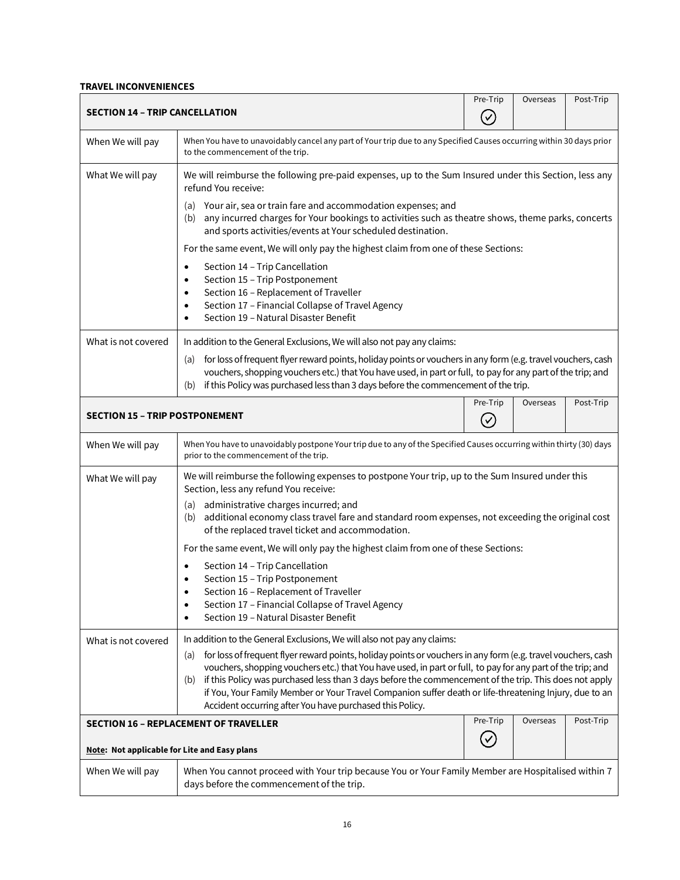## <span id="page-15-0"></span>**TRAVEL INCONVENIENCES**

<span id="page-15-3"></span><span id="page-15-2"></span><span id="page-15-1"></span>

| <b>SECTION 14 - TRIP CANCELLATION</b>        |                                                                                                                                                                                                                                                                                                                                                                                                                                                                                                                                                                                                      | Pre-Trip<br>$(\checkmark)$ | Overseas | Post-Trip |
|----------------------------------------------|------------------------------------------------------------------------------------------------------------------------------------------------------------------------------------------------------------------------------------------------------------------------------------------------------------------------------------------------------------------------------------------------------------------------------------------------------------------------------------------------------------------------------------------------------------------------------------------------------|----------------------------|----------|-----------|
| When We will pay                             | When You have to unavoidably cancel any part of Your trip due to any Specified Causes occurring within 30 days prior<br>to the commencement of the trip.                                                                                                                                                                                                                                                                                                                                                                                                                                             |                            |          |           |
| What We will pay                             | We will reimburse the following pre-paid expenses, up to the Sum Insured under this Section, less any<br>refund You receive:                                                                                                                                                                                                                                                                                                                                                                                                                                                                         |                            |          |           |
|                                              | Your air, sea or train fare and accommodation expenses; and<br>(a)<br>any incurred charges for Your bookings to activities such as theatre shows, theme parks, concerts<br>(b)<br>and sports activities/events at Your scheduled destination.                                                                                                                                                                                                                                                                                                                                                        |                            |          |           |
|                                              | For the same event, We will only pay the highest claim from one of these Sections:                                                                                                                                                                                                                                                                                                                                                                                                                                                                                                                   |                            |          |           |
|                                              | Section 14 - Trip Cancellation<br>٠<br>Section 15 - Trip Postponement<br>٠<br>Section 16 - Replacement of Traveller<br>$\bullet$<br>Section 17 - Financial Collapse of Travel Agency<br>٠<br>Section 19 - Natural Disaster Benefit                                                                                                                                                                                                                                                                                                                                                                   |                            |          |           |
| What is not covered                          | In addition to the General Exclusions, We will also not pay any claims:                                                                                                                                                                                                                                                                                                                                                                                                                                                                                                                              |                            |          |           |
|                                              | for loss of frequent flyer reward points, holiday points or vouchers in any form (e.g. travel vouchers, cash<br>(a)<br>vouchers, shopping vouchers etc.) that You have used, in part or full, to pay for any part of the trip; and<br>if this Policy was purchased less than 3 days before the commencement of the trip.<br>(b)                                                                                                                                                                                                                                                                      |                            |          |           |
| <b>SECTION 15 - TRIP POSTPONEMENT</b>        |                                                                                                                                                                                                                                                                                                                                                                                                                                                                                                                                                                                                      | Pre-Trip<br>$(\checkmark$  | Overseas | Post-Trip |
| When We will pay                             | When You have to unavoidably postpone Your trip due to any of the Specified Causes occurring within thirty (30) days<br>prior to the commencement of the trip.                                                                                                                                                                                                                                                                                                                                                                                                                                       |                            |          |           |
| What We will pay                             | We will reimburse the following expenses to postpone Your trip, up to the Sum Insured under this<br>Section, less any refund You receive:                                                                                                                                                                                                                                                                                                                                                                                                                                                            |                            |          |           |
|                                              | administrative charges incurred; and<br>(a)<br>additional economy class travel fare and standard room expenses, not exceeding the original cost<br>(b)<br>of the replaced travel ticket and accommodation.                                                                                                                                                                                                                                                                                                                                                                                           |                            |          |           |
|                                              | For the same event, We will only pay the highest claim from one of these Sections:                                                                                                                                                                                                                                                                                                                                                                                                                                                                                                                   |                            |          |           |
|                                              | Section 14 - Trip Cancellation<br>$\bullet$                                                                                                                                                                                                                                                                                                                                                                                                                                                                                                                                                          |                            |          |           |
|                                              | Section 15 - Trip Postponement<br>Section 16 - Replacement of Traveller                                                                                                                                                                                                                                                                                                                                                                                                                                                                                                                              |                            |          |           |
|                                              | Section 17 - Financial Collapse of Travel Agency                                                                                                                                                                                                                                                                                                                                                                                                                                                                                                                                                     |                            |          |           |
|                                              | Section 19 - Natural Disaster Benefit                                                                                                                                                                                                                                                                                                                                                                                                                                                                                                                                                                |                            |          |           |
| What is not covered                          | In addition to the General Exclusions, We will also not pay any claims:<br>for loss of frequent flyer reward points, holiday points or vouchers in any form (e.g. travel vouchers, cash<br>(a)<br>vouchers, shopping vouchers etc.) that You have used, in part or full, to pay for any part of the trip; and<br>if this Policy was purchased less than 3 days before the commencement of the trip. This does not apply<br>(b)<br>if You, Your Family Member or Your Travel Companion suffer death or life-threatening Injury, due to an<br>Accident occurring after You have purchased this Policy. |                            |          |           |
|                                              | Pre-Trip<br>Overseas<br>Post-Trip<br><b>SECTION 16 - REPLACEMENT OF TRAVELLER</b>                                                                                                                                                                                                                                                                                                                                                                                                                                                                                                                    |                            |          |           |
| Note: Not applicable for Lite and Easy plans |                                                                                                                                                                                                                                                                                                                                                                                                                                                                                                                                                                                                      |                            |          |           |
| When We will pay                             | When You cannot proceed with Your trip because You or Your Family Member are Hospitalised within 7<br>days before the commencement of the trip.                                                                                                                                                                                                                                                                                                                                                                                                                                                      |                            |          |           |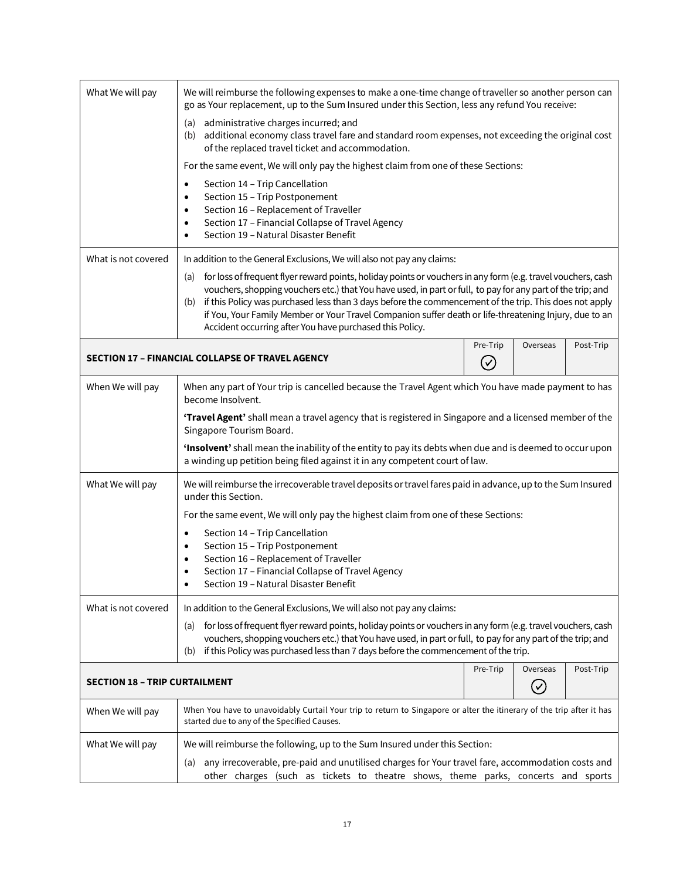<span id="page-16-1"></span><span id="page-16-0"></span>

| What We will pay                     | We will reimburse the following expenses to make a one-time change of traveller so another person can<br>go as Your replacement, up to the Sum Insured under this Section, less any refund You receive:                                                                                                                                                                                                                                                                                                                                                                                              |          |                            |           |
|--------------------------------------|------------------------------------------------------------------------------------------------------------------------------------------------------------------------------------------------------------------------------------------------------------------------------------------------------------------------------------------------------------------------------------------------------------------------------------------------------------------------------------------------------------------------------------------------------------------------------------------------------|----------|----------------------------|-----------|
|                                      | administrative charges incurred; and<br>(a)<br>additional economy class travel fare and standard room expenses, not exceeding the original cost<br>(b)<br>of the replaced travel ticket and accommodation.                                                                                                                                                                                                                                                                                                                                                                                           |          |                            |           |
|                                      | For the same event, We will only pay the highest claim from one of these Sections:                                                                                                                                                                                                                                                                                                                                                                                                                                                                                                                   |          |                            |           |
|                                      | Section 14 - Trip Cancellation<br>Section 15 - Trip Postponement<br>$\bullet$<br>Section 16 - Replacement of Traveller<br>$\bullet$<br>Section 17 - Financial Collapse of Travel Agency<br>Section 19 - Natural Disaster Benefit                                                                                                                                                                                                                                                                                                                                                                     |          |                            |           |
| What is not covered                  | In addition to the General Exclusions, We will also not pay any claims:<br>for loss of frequent flyer reward points, holiday points or vouchers in any form (e.g. travel vouchers, cash<br>(a)<br>vouchers, shopping vouchers etc.) that You have used, in part or full, to pay for any part of the trip; and<br>if this Policy was purchased less than 3 days before the commencement of the trip. This does not apply<br>(b)<br>if You, Your Family Member or Your Travel Companion suffer death or life-threatening Injury, due to an<br>Accident occurring after You have purchased this Policy. |          |                            |           |
|                                      | Pre-Trip<br>Post-Trip<br>Overseas<br>SECTION 17 - FINANCIAL COLLAPSE OF TRAVEL AGENCY<br>$(\checkmark)$                                                                                                                                                                                                                                                                                                                                                                                                                                                                                              |          |                            |           |
| When We will pay                     | When any part of Your trip is cancelled because the Travel Agent which You have made payment to has<br>become Insolvent.                                                                                                                                                                                                                                                                                                                                                                                                                                                                             |          |                            |           |
|                                      | 'Travel Agent' shall mean a travel agency that is registered in Singapore and a licensed member of the<br>Singapore Tourism Board.                                                                                                                                                                                                                                                                                                                                                                                                                                                                   |          |                            |           |
|                                      | 'Insolvent' shall mean the inability of the entity to pay its debts when due and is deemed to occur upon<br>a winding up petition being filed against it in any competent court of law.                                                                                                                                                                                                                                                                                                                                                                                                              |          |                            |           |
| What We will pay                     | We will reimburse the irrecoverable travel deposits or travel fares paid in advance, up to the Sum Insured<br>under this Section.                                                                                                                                                                                                                                                                                                                                                                                                                                                                    |          |                            |           |
|                                      | For the same event, We will only pay the highest claim from one of these Sections:                                                                                                                                                                                                                                                                                                                                                                                                                                                                                                                   |          |                            |           |
|                                      | Section 14 - Trip Cancellation                                                                                                                                                                                                                                                                                                                                                                                                                                                                                                                                                                       |          |                            |           |
|                                      | Section 15 - Trip Postponement<br>Section 16 - Replacement of Traveller                                                                                                                                                                                                                                                                                                                                                                                                                                                                                                                              |          |                            |           |
|                                      | Section 17 - Financial Collapse of Travel Agency<br>Section 19 - Natural Disaster Benefit                                                                                                                                                                                                                                                                                                                                                                                                                                                                                                            |          |                            |           |
| What is not covered                  | In addition to the General Exclusions, We will also not pay any claims:                                                                                                                                                                                                                                                                                                                                                                                                                                                                                                                              |          |                            |           |
|                                      | for loss of frequent flyer reward points, holiday points or vouchers in any form (e.g. travel vouchers, cash<br>(a)<br>vouchers, shopping vouchers etc.) that You have used, in part or full, to pay for any part of the trip; and<br>if this Policy was purchased less than 7 days before the commencement of the trip.<br>(b)                                                                                                                                                                                                                                                                      |          |                            |           |
| <b>SECTION 18 - TRIP CURTAILMENT</b> |                                                                                                                                                                                                                                                                                                                                                                                                                                                                                                                                                                                                      | Pre-Trip | Overseas<br>$(\checkmark)$ | Post-Trip |
| When We will pay                     | When You have to unavoidably Curtail Your trip to return to Singapore or alter the itinerary of the trip after it has<br>started due to any of the Specified Causes.                                                                                                                                                                                                                                                                                                                                                                                                                                 |          |                            |           |
| What We will pay                     | We will reimburse the following, up to the Sum Insured under this Section:                                                                                                                                                                                                                                                                                                                                                                                                                                                                                                                           |          |                            |           |
|                                      | any irrecoverable, pre-paid and unutilised charges for Your travel fare, accommodation costs and<br>(a)<br>other charges (such as tickets to theatre shows, theme parks, concerts and sports                                                                                                                                                                                                                                                                                                                                                                                                         |          |                            |           |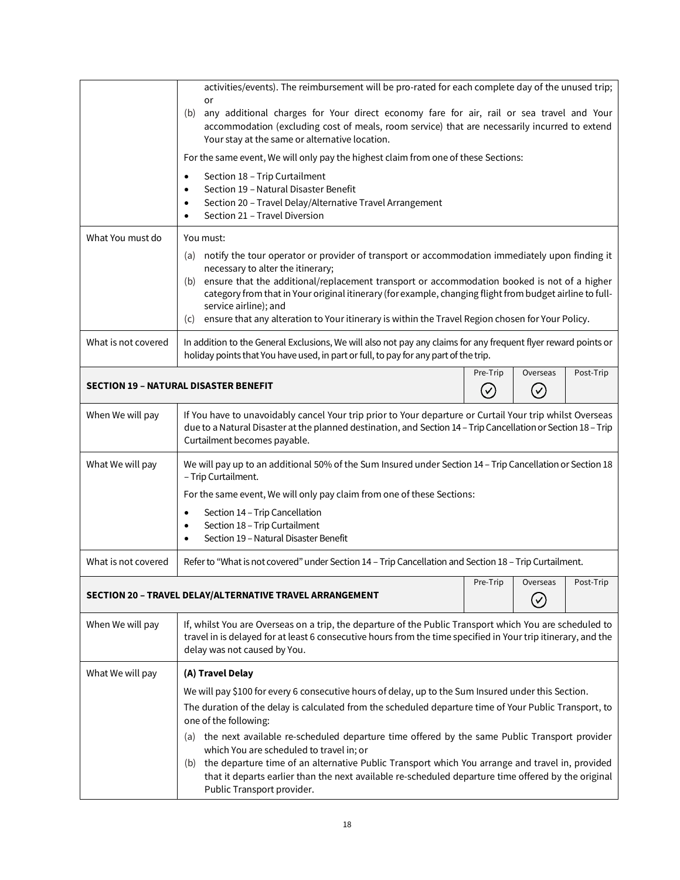<span id="page-17-1"></span><span id="page-17-0"></span>

|                                                                                                          | activities/events). The reimbursement will be pro-rated for each complete day of the unused trip;<br>or                                                                                                                                                                                                                                                                                                                                                                                       |          |                      |           |  |
|----------------------------------------------------------------------------------------------------------|-----------------------------------------------------------------------------------------------------------------------------------------------------------------------------------------------------------------------------------------------------------------------------------------------------------------------------------------------------------------------------------------------------------------------------------------------------------------------------------------------|----------|----------------------|-----------|--|
|                                                                                                          | any additional charges for Your direct economy fare for air, rail or sea travel and Your<br>(b)<br>accommodation (excluding cost of meals, room service) that are necessarily incurred to extend<br>Your stay at the same or alternative location.                                                                                                                                                                                                                                            |          |                      |           |  |
|                                                                                                          | For the same event, We will only pay the highest claim from one of these Sections:                                                                                                                                                                                                                                                                                                                                                                                                            |          |                      |           |  |
|                                                                                                          | Section 18 - Trip Curtailment<br>Section 19 - Natural Disaster Benefit<br>Section 20 - Travel Delay/Alternative Travel Arrangement<br>Section 21 - Travel Diversion                                                                                                                                                                                                                                                                                                                           |          |                      |           |  |
| What You must do                                                                                         | You must:                                                                                                                                                                                                                                                                                                                                                                                                                                                                                     |          |                      |           |  |
|                                                                                                          | notify the tour operator or provider of transport or accommodation immediately upon finding it<br>(a)<br>necessary to alter the itinerary;<br>(b) ensure that the additional/replacement transport or accommodation booked is not of a higher<br>category from that in Your original itinerary (for example, changing flight from budget airline to full-<br>service airline); and<br>ensure that any alteration to Your itinerary is within the Travel Region chosen for Your Policy.<br>(c) |          |                      |           |  |
| What is not covered                                                                                      | In addition to the General Exclusions, We will also not pay any claims for any frequent flyer reward points or<br>holiday points that You have used, in part or full, to pay for any part of the trip.                                                                                                                                                                                                                                                                                        |          |                      |           |  |
| Pre-Trip<br>Overseas<br><b>SECTION 19 - NATURAL DISASTER BENEFIT</b><br>$(\checkmark)$<br>$(\checkmark)$ |                                                                                                                                                                                                                                                                                                                                                                                                                                                                                               |          | Post-Trip            |           |  |
| When We will pay                                                                                         | If You have to unavoidably cancel Your trip prior to Your departure or Curtail Your trip whilst Overseas<br>due to a Natural Disaster at the planned destination, and Section 14 - Trip Cancellation or Section 18 - Trip<br>Curtailment becomes payable.                                                                                                                                                                                                                                     |          |                      |           |  |
| What We will pay                                                                                         | We will pay up to an additional 50% of the Sum Insured under Section 14 - Trip Cancellation or Section 18<br>- Trip Curtailment.                                                                                                                                                                                                                                                                                                                                                              |          |                      |           |  |
|                                                                                                          | For the same event, We will only pay claim from one of these Sections:                                                                                                                                                                                                                                                                                                                                                                                                                        |          |                      |           |  |
|                                                                                                          | Section 14 - Trip Cancellation<br>Section 18 - Trip Curtailment<br>Section 19 - Natural Disaster Benefit                                                                                                                                                                                                                                                                                                                                                                                      |          |                      |           |  |
| What is not covered                                                                                      | Refer to "What is not covered" under Section 14 - Trip Cancellation and Section 18 - Trip Curtailment.                                                                                                                                                                                                                                                                                                                                                                                        |          |                      |           |  |
|                                                                                                          | SECTION 20 - TRAVEL DELAY/ALTERNATIVE TRAVEL ARRANGEMENT                                                                                                                                                                                                                                                                                                                                                                                                                                      | Pre-Trip | Overseas<br>$(\vee)$ | Post-Trip |  |
| When We will pay                                                                                         | If, whilst You are Overseas on a trip, the departure of the Public Transport which You are scheduled to<br>travel in is delayed for at least 6 consecutive hours from the time specified in Your trip itinerary, and the<br>delay was not caused by You.                                                                                                                                                                                                                                      |          |                      |           |  |
| What We will pay                                                                                         | (A) Travel Delay                                                                                                                                                                                                                                                                                                                                                                                                                                                                              |          |                      |           |  |
|                                                                                                          | We will pay \$100 for every 6 consecutive hours of delay, up to the Sum Insured under this Section.                                                                                                                                                                                                                                                                                                                                                                                           |          |                      |           |  |
|                                                                                                          | The duration of the delay is calculated from the scheduled departure time of Your Public Transport, to<br>one of the following:                                                                                                                                                                                                                                                                                                                                                               |          |                      |           |  |
|                                                                                                          | (a) the next available re-scheduled departure time offered by the same Public Transport provider<br>which You are scheduled to travel in; or                                                                                                                                                                                                                                                                                                                                                  |          |                      |           |  |
|                                                                                                          | (b) the departure time of an alternative Public Transport which You arrange and travel in, provided<br>that it departs earlier than the next available re-scheduled departure time offered by the original<br>Public Transport provider.                                                                                                                                                                                                                                                      |          |                      |           |  |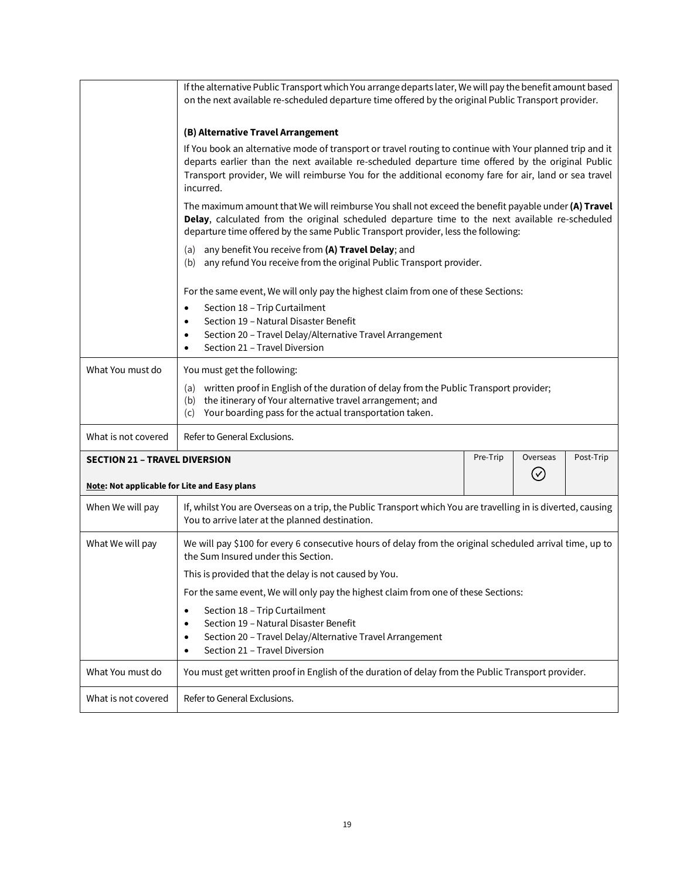<span id="page-18-0"></span>

|                                                     | If the alternative Public Transport which You arrange departs later, We will pay the benefit amount based<br>on the next available re-scheduled departure time offered by the original Public Transport provider.                                                                                                                    |          |                            |           |
|-----------------------------------------------------|--------------------------------------------------------------------------------------------------------------------------------------------------------------------------------------------------------------------------------------------------------------------------------------------------------------------------------------|----------|----------------------------|-----------|
|                                                     | (B) Alternative Travel Arrangement                                                                                                                                                                                                                                                                                                   |          |                            |           |
|                                                     | If You book an alternative mode of transport or travel routing to continue with Your planned trip and it<br>departs earlier than the next available re-scheduled departure time offered by the original Public<br>Transport provider, We will reimburse You for the additional economy fare for air, land or sea travel<br>incurred. |          |                            |           |
|                                                     | The maximum amount that We will reimburse You shall not exceed the benefit payable under (A) Travel<br>Delay, calculated from the original scheduled departure time to the next available re-scheduled<br>departure time offered by the same Public Transport provider, less the following:                                          |          |                            |           |
|                                                     | any benefit You receive from (A) Travel Delay; and<br>(a)<br>any refund You receive from the original Public Transport provider.<br>(b)                                                                                                                                                                                              |          |                            |           |
|                                                     | For the same event, We will only pay the highest claim from one of these Sections:                                                                                                                                                                                                                                                   |          |                            |           |
|                                                     | Section 18 - Trip Curtailment<br>$\bullet$<br>Section 19 - Natural Disaster Benefit<br>$\bullet$<br>Section 20 - Travel Delay/Alternative Travel Arrangement<br>٠<br>Section 21 - Travel Diversion                                                                                                                                   |          |                            |           |
| What You must do                                    | You must get the following:                                                                                                                                                                                                                                                                                                          |          |                            |           |
|                                                     | written proof in English of the duration of delay from the Public Transport provider;<br>(a)<br>the itinerary of Your alternative travel arrangement; and<br>(b)<br>Your boarding pass for the actual transportation taken.<br>(c)                                                                                                   |          |                            |           |
| What is not covered                                 | Refer to General Exclusions.                                                                                                                                                                                                                                                                                                         |          |                            |           |
| <b>SECTION 21 - TRAVEL DIVERSION</b>                |                                                                                                                                                                                                                                                                                                                                      | Pre-Trip | Overseas<br>$\circledcirc$ | Post-Trip |
| <b>Note: Not applicable for Lite and Easy plans</b> |                                                                                                                                                                                                                                                                                                                                      |          |                            |           |
| When We will pay                                    | If, whilst You are Overseas on a trip, the Public Transport which You are travelling in is diverted, causing<br>You to arrive later at the planned destination.                                                                                                                                                                      |          |                            |           |
| What We will pay                                    | We will pay \$100 for every 6 consecutive hours of delay from the original scheduled arrival time, up to<br>the Sum Insured under this Section.                                                                                                                                                                                      |          |                            |           |
|                                                     | This is provided that the delay is not caused by You.                                                                                                                                                                                                                                                                                |          |                            |           |
|                                                     | For the same event, We will only pay the highest claim from one of these Sections:                                                                                                                                                                                                                                                   |          |                            |           |
|                                                     | Section 18 - Trip Curtailment<br>$\bullet$<br>Section 19 - Natural Disaster Benefit<br>٠<br>Section 20 - Travel Delay/Alternative Travel Arrangement<br>٠<br>Section 21 - Travel Diversion<br>٠                                                                                                                                      |          |                            |           |
| What You must do                                    | You must get written proof in English of the duration of delay from the Public Transport provider.                                                                                                                                                                                                                                   |          |                            |           |
| What is not covered                                 | Refer to General Exclusions.                                                                                                                                                                                                                                                                                                         |          |                            |           |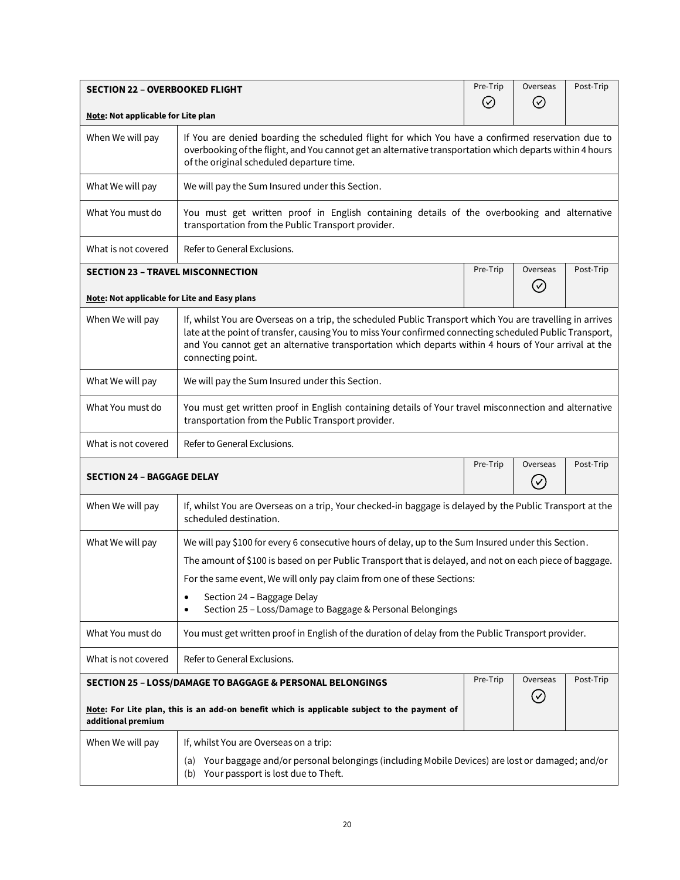<span id="page-19-3"></span><span id="page-19-2"></span><span id="page-19-1"></span><span id="page-19-0"></span>

| <b>SECTION 22 - OVERBOOKED FLIGHT</b>                                                                                                                                                                                                                                                                                                                                  |                                                                                                                                                             | Pre-Trip  | Overseas | Post-Trip |
|------------------------------------------------------------------------------------------------------------------------------------------------------------------------------------------------------------------------------------------------------------------------------------------------------------------------------------------------------------------------|-------------------------------------------------------------------------------------------------------------------------------------------------------------|-----------|----------|-----------|
| Note: Not applicable for Lite plan                                                                                                                                                                                                                                                                                                                                     |                                                                                                                                                             | $\oslash$ | ⊘        |           |
| When We will pay<br>If You are denied boarding the scheduled flight for which You have a confirmed reservation due to<br>overbooking of the flight, and You cannot get an alternative transportation which departs within 4 hours<br>of the original scheduled departure time.                                                                                         |                                                                                                                                                             |           |          |           |
| What We will pay                                                                                                                                                                                                                                                                                                                                                       | We will pay the Sum Insured under this Section.                                                                                                             |           |          |           |
| What You must do                                                                                                                                                                                                                                                                                                                                                       | You must get written proof in English containing details of the overbooking and alternative<br>transportation from the Public Transport provider.           |           |          |           |
| What is not covered                                                                                                                                                                                                                                                                                                                                                    | Refer to General Exclusions.                                                                                                                                |           |          |           |
| <b>SECTION 23 - TRAVEL MISCONNECTION</b>                                                                                                                                                                                                                                                                                                                               |                                                                                                                                                             | Pre-Trip  | Overseas | Post-Trip |
| Note: Not applicable for Lite and Easy plans                                                                                                                                                                                                                                                                                                                           |                                                                                                                                                             |           | $(\vee)$ |           |
| If, whilst You are Overseas on a trip, the scheduled Public Transport which You are travelling in arrives<br>When We will pay<br>late at the point of transfer, causing You to miss Your confirmed connecting scheduled Public Transport,<br>and You cannot get an alternative transportation which departs within 4 hours of Your arrival at the<br>connecting point. |                                                                                                                                                             |           |          |           |
| What We will pay                                                                                                                                                                                                                                                                                                                                                       | We will pay the Sum Insured under this Section.                                                                                                             |           |          |           |
| What You must do                                                                                                                                                                                                                                                                                                                                                       | You must get written proof in English containing details of Your travel misconnection and alternative<br>transportation from the Public Transport provider. |           |          |           |
| What is not covered                                                                                                                                                                                                                                                                                                                                                    | Refer to General Exclusions.                                                                                                                                |           |          |           |
| <b>SECTION 24 - BAGGAGE DELAY</b>                                                                                                                                                                                                                                                                                                                                      |                                                                                                                                                             | Pre-Trip  | Overseas | Post-Trip |
| When We will pay                                                                                                                                                                                                                                                                                                                                                       | If, whilst You are Overseas on a trip, Your checked-in baggage is delayed by the Public Transport at the<br>scheduled destination.                          |           |          |           |
| What We will pay                                                                                                                                                                                                                                                                                                                                                       | We will pay \$100 for every 6 consecutive hours of delay, up to the Sum Insured under this Section.                                                         |           |          |           |
|                                                                                                                                                                                                                                                                                                                                                                        | The amount of \$100 is based on per Public Transport that is delayed, and not on each piece of baggage.                                                     |           |          |           |
|                                                                                                                                                                                                                                                                                                                                                                        | For the same event, We will only pay claim from one of these Sections:                                                                                      |           |          |           |
|                                                                                                                                                                                                                                                                                                                                                                        | Section 24 - Baggage Delay<br>٠<br>Section 25 - Loss/Damage to Baggage & Personal Belongings<br>٠                                                           |           |          |           |
| What You must do                                                                                                                                                                                                                                                                                                                                                       | You must get written proof in English of the duration of delay from the Public Transport provider.                                                          |           |          |           |
| What is not covered                                                                                                                                                                                                                                                                                                                                                    | Refer to General Exclusions.                                                                                                                                |           |          |           |
| Pre-Trip<br>Overseas<br>Post-Trip<br><b>SECTION 25 - LOSS/DAMAGE TO BAGGAGE &amp; PERSONAL BELONGINGS</b><br>$(\vee)$<br>Note: For Lite plan, this is an add-on benefit which is applicable subject to the payment of<br>additional premium                                                                                                                            |                                                                                                                                                             |           |          |           |
| When We will pay                                                                                                                                                                                                                                                                                                                                                       | If, whilst You are Overseas on a trip:                                                                                                                      |           |          |           |
| Your baggage and/or personal belongings (including Mobile Devices) are lost or damaged; and/or<br>(a)<br>(b) Your passport is lost due to Theft.                                                                                                                                                                                                                       |                                                                                                                                                             |           |          |           |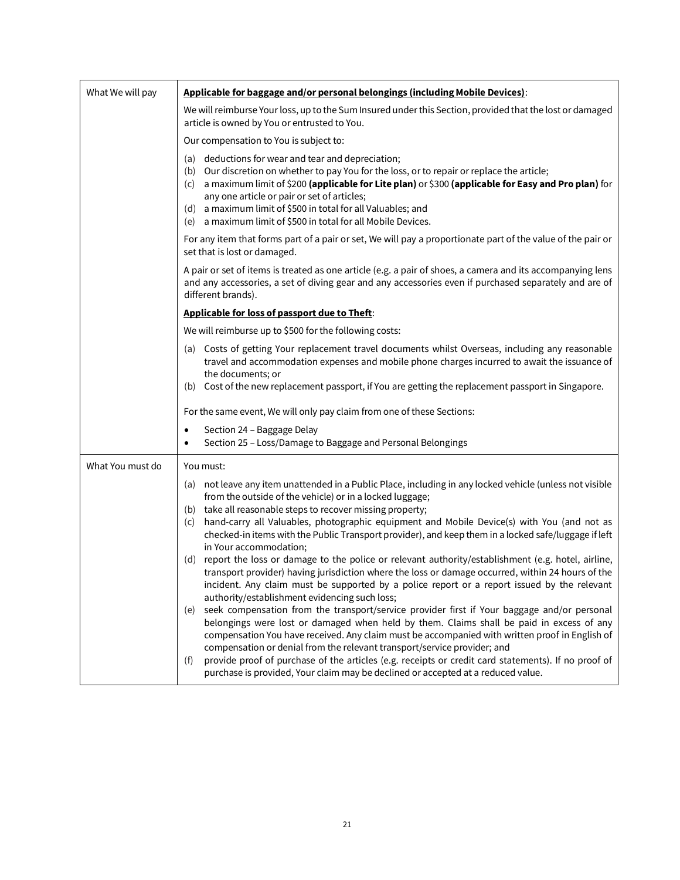| What We will pay | Applicable for baggage and/or personal belongings (including Mobile Devices):                                                                                                                                                                                                                                                                                                                                                                            |
|------------------|----------------------------------------------------------------------------------------------------------------------------------------------------------------------------------------------------------------------------------------------------------------------------------------------------------------------------------------------------------------------------------------------------------------------------------------------------------|
|                  | We will reimburse Your loss, up to the Sum Insured under this Section, provided that the lost or damaged<br>article is owned by You or entrusted to You.                                                                                                                                                                                                                                                                                                 |
|                  | Our compensation to You is subject to:                                                                                                                                                                                                                                                                                                                                                                                                                   |
|                  | (a) deductions for wear and tear and depreciation;<br>Our discretion on whether to pay You for the loss, or to repair or replace the article;<br>(b)<br>a maximum limit of \$200 (applicable for Lite plan) or \$300 (applicable for Easy and Pro plan) for<br>(c)<br>any one article or pair or set of articles;<br>a maximum limit of \$500 in total for all Valuables; and<br>(d)<br>a maximum limit of \$500 in total for all Mobile Devices.<br>(e) |
|                  | For any item that forms part of a pair or set, We will pay a proportionate part of the value of the pair or<br>set that is lost or damaged.                                                                                                                                                                                                                                                                                                              |
|                  | A pair or set of items is treated as one article (e.g. a pair of shoes, a camera and its accompanying lens<br>and any accessories, a set of diving gear and any accessories even if purchased separately and are of<br>different brands).                                                                                                                                                                                                                |
|                  | Applicable for loss of passport due to Theft:                                                                                                                                                                                                                                                                                                                                                                                                            |
|                  | We will reimburse up to \$500 for the following costs:                                                                                                                                                                                                                                                                                                                                                                                                   |
|                  | (a) Costs of getting Your replacement travel documents whilst Overseas, including any reasonable<br>travel and accommodation expenses and mobile phone charges incurred to await the issuance of<br>the documents; or<br>(b) Cost of the new replacement passport, if You are getting the replacement passport in Singapore.                                                                                                                             |
|                  | For the same event, We will only pay claim from one of these Sections:                                                                                                                                                                                                                                                                                                                                                                                   |
|                  | Section 24 - Baggage Delay<br>$\bullet$<br>Section 25 - Loss/Damage to Baggage and Personal Belongings                                                                                                                                                                                                                                                                                                                                                   |
| What You must do | You must:                                                                                                                                                                                                                                                                                                                                                                                                                                                |
|                  | not leave any item unattended in a Public Place, including in any locked vehicle (unless not visible<br>(a)<br>from the outside of the vehicle) or in a locked luggage;                                                                                                                                                                                                                                                                                  |
|                  | (b) take all reasonable steps to recover missing property;<br>hand-carry all Valuables, photographic equipment and Mobile Device(s) with You (and not as<br>(c)<br>checked-in items with the Public Transport provider), and keep them in a locked safe/luggage if left<br>in Your accommodation;                                                                                                                                                        |
|                  | (d) report the loss or damage to the police or relevant authority/establishment (e.g. hotel, airline,<br>transport provider) having jurisdiction where the loss or damage occurred, within 24 hours of the<br>incident. Any claim must be supported by a police report or a report issued by the relevant<br>authority/establishment evidencing such loss;                                                                                               |
|                  | seek compensation from the transport/service provider first if Your baggage and/or personal<br>(e)<br>belongings were lost or damaged when held by them. Claims shall be paid in excess of any<br>compensation You have received. Any claim must be accompanied with written proof in English of<br>compensation or denial from the relevant transport/service provider; and                                                                             |
|                  | provide proof of purchase of the articles (e.g. receipts or credit card statements). If no proof of<br>(f)<br>purchase is provided, Your claim may be declined or accepted at a reduced value.                                                                                                                                                                                                                                                           |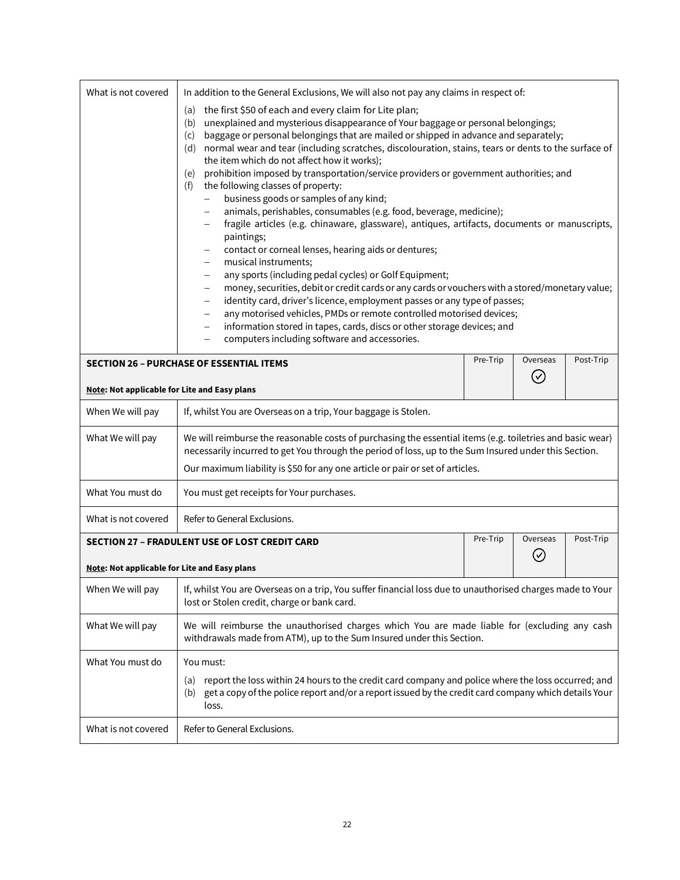<span id="page-21-1"></span><span id="page-21-0"></span>

| What is not covered                                 |                                                                                                                                                                                                                                                                                                                                                                                                                                                                                                                                                                                                                                                                                                                                                                                                                                                                                                                                                                                                                                                                                                                                                                                                                                                                                                                                                                                                                                                                                                                                                                                           | In addition to the General Exclusions, We will also not pay any claims in respect of: |                         |           |  |
|-----------------------------------------------------|-------------------------------------------------------------------------------------------------------------------------------------------------------------------------------------------------------------------------------------------------------------------------------------------------------------------------------------------------------------------------------------------------------------------------------------------------------------------------------------------------------------------------------------------------------------------------------------------------------------------------------------------------------------------------------------------------------------------------------------------------------------------------------------------------------------------------------------------------------------------------------------------------------------------------------------------------------------------------------------------------------------------------------------------------------------------------------------------------------------------------------------------------------------------------------------------------------------------------------------------------------------------------------------------------------------------------------------------------------------------------------------------------------------------------------------------------------------------------------------------------------------------------------------------------------------------------------------------|---------------------------------------------------------------------------------------|-------------------------|-----------|--|
|                                                     | the first \$50 of each and every claim for Lite plan;<br>(a)<br>unexplained and mysterious disappearance of Your baggage or personal belongings;<br>(b)<br>baggage or personal belongings that are mailed or shipped in advance and separately;<br>(c)<br>normal wear and tear (including scratches, discolouration, stains, tears or dents to the surface of<br>(d)<br>the item which do not affect how it works);<br>prohibition imposed by transportation/service providers or government authorities; and<br>(e)<br>the following classes of property:<br>(f)<br>business goods or samples of any kind;<br>$\overline{\phantom{0}}$<br>animals, perishables, consumables (e.g. food, beverage, medicine);<br>$\qquad \qquad -$<br>fragile articles (e.g. chinaware, glassware), antiques, artifacts, documents or manuscripts,<br>$\qquad \qquad -$<br>paintings;<br>contact or corneal lenses, hearing aids or dentures;<br>$\overline{\phantom{m}}$<br>musical instruments;<br>$\overline{\phantom{m}}$<br>any sports (including pedal cycles) or Golf Equipment;<br>$\overline{\phantom{m}}$<br>money, securities, debit or credit cards or any cards or vouchers with a stored/monetary value;<br>$\qquad \qquad -$<br>identity card, driver's licence, employment passes or any type of passes;<br>$\overline{\phantom{m}}$<br>any motorised vehicles, PMDs or remote controlled motorised devices;<br>$\qquad \qquad -$<br>information stored in tapes, cards, discs or other storage devices; and<br>$\overline{\phantom{m}}$<br>computers including software and accessories. |                                                                                       |                         |           |  |
|                                                     | <b>SECTION 26 - PURCHASE OF ESSENTIAL ITEMS</b>                                                                                                                                                                                                                                                                                                                                                                                                                                                                                                                                                                                                                                                                                                                                                                                                                                                                                                                                                                                                                                                                                                                                                                                                                                                                                                                                                                                                                                                                                                                                           | Pre-Trip                                                                              | Overseas<br>$\mathbf v$ | Post-Trip |  |
| Note: Not applicable for Lite and Easy plans        |                                                                                                                                                                                                                                                                                                                                                                                                                                                                                                                                                                                                                                                                                                                                                                                                                                                                                                                                                                                                                                                                                                                                                                                                                                                                                                                                                                                                                                                                                                                                                                                           |                                                                                       |                         |           |  |
| When We will pay                                    | If, whilst You are Overseas on a trip, Your baggage is Stolen.                                                                                                                                                                                                                                                                                                                                                                                                                                                                                                                                                                                                                                                                                                                                                                                                                                                                                                                                                                                                                                                                                                                                                                                                                                                                                                                                                                                                                                                                                                                            |                                                                                       |                         |           |  |
| What We will pay                                    | We will reimburse the reasonable costs of purchasing the essential items (e.g. toiletries and basic wear)<br>necessarily incurred to get You through the period of loss, up to the Sum Insured under this Section.<br>Our maximum liability is \$50 for any one article or pair or set of articles.                                                                                                                                                                                                                                                                                                                                                                                                                                                                                                                                                                                                                                                                                                                                                                                                                                                                                                                                                                                                                                                                                                                                                                                                                                                                                       |                                                                                       |                         |           |  |
| What You must do                                    | You must get receipts for Your purchases.                                                                                                                                                                                                                                                                                                                                                                                                                                                                                                                                                                                                                                                                                                                                                                                                                                                                                                                                                                                                                                                                                                                                                                                                                                                                                                                                                                                                                                                                                                                                                 |                                                                                       |                         |           |  |
| What is not covered                                 | Refer to General Exclusions.                                                                                                                                                                                                                                                                                                                                                                                                                                                                                                                                                                                                                                                                                                                                                                                                                                                                                                                                                                                                                                                                                                                                                                                                                                                                                                                                                                                                                                                                                                                                                              |                                                                                       |                         |           |  |
|                                                     | SECTION 27 - FRADULENT USE OF LOST CREDIT CARD                                                                                                                                                                                                                                                                                                                                                                                                                                                                                                                                                                                                                                                                                                                                                                                                                                                                                                                                                                                                                                                                                                                                                                                                                                                                                                                                                                                                                                                                                                                                            | Pre-Trip                                                                              | Overseas                | Post-Trip |  |
| <b>Note: Not applicable for Lite and Easy plans</b> |                                                                                                                                                                                                                                                                                                                                                                                                                                                                                                                                                                                                                                                                                                                                                                                                                                                                                                                                                                                                                                                                                                                                                                                                                                                                                                                                                                                                                                                                                                                                                                                           |                                                                                       | $\mathbf{v}$            |           |  |
| When We will pay                                    | If, whilst You are Overseas on a trip, You suffer financial loss due to unauthorised charges made to Your<br>lost or Stolen credit, charge or bank card.                                                                                                                                                                                                                                                                                                                                                                                                                                                                                                                                                                                                                                                                                                                                                                                                                                                                                                                                                                                                                                                                                                                                                                                                                                                                                                                                                                                                                                  |                                                                                       |                         |           |  |
| What We will pay                                    | We will reimburse the unauthorised charges which You are made liable for (excluding any cash<br>withdrawals made from ATM), up to the Sum Insured under this Section.                                                                                                                                                                                                                                                                                                                                                                                                                                                                                                                                                                                                                                                                                                                                                                                                                                                                                                                                                                                                                                                                                                                                                                                                                                                                                                                                                                                                                     |                                                                                       |                         |           |  |
| What You must do                                    | You must:<br>report the loss within 24 hours to the credit card company and police where the loss occurred; and<br>(a)<br>get a copy of the police report and/or a report issued by the credit card company which details Your<br>(b)<br>loss.                                                                                                                                                                                                                                                                                                                                                                                                                                                                                                                                                                                                                                                                                                                                                                                                                                                                                                                                                                                                                                                                                                                                                                                                                                                                                                                                            |                                                                                       |                         |           |  |
| What is not covered                                 | Refer to General Exclusions.                                                                                                                                                                                                                                                                                                                                                                                                                                                                                                                                                                                                                                                                                                                                                                                                                                                                                                                                                                                                                                                                                                                                                                                                                                                                                                                                                                                                                                                                                                                                                              |                                                                                       |                         |           |  |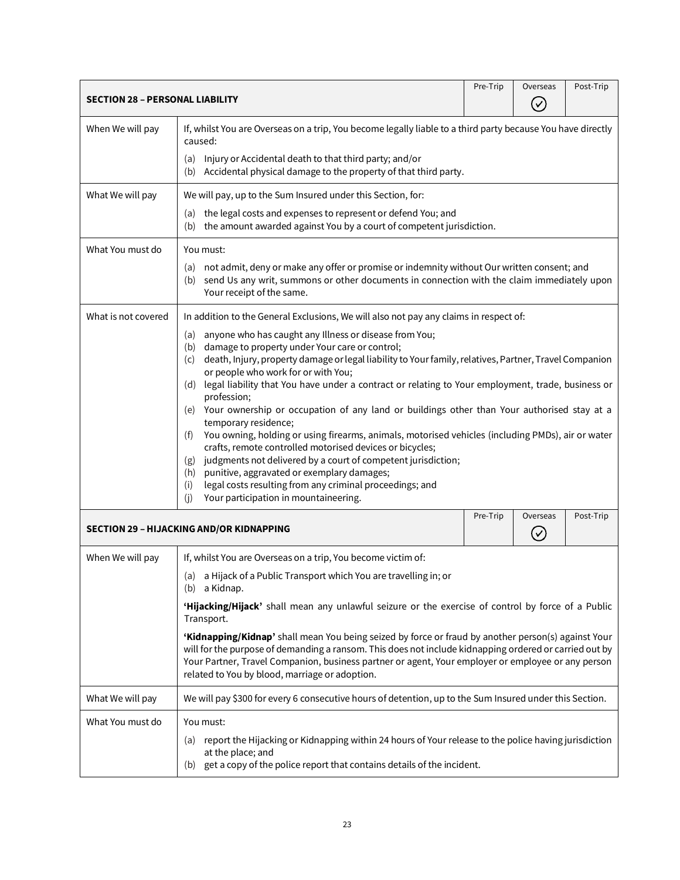<span id="page-22-1"></span><span id="page-22-0"></span>

| <b>SECTION 28 - PERSONAL LIABILITY</b> |                                                                                                                                                                                                                                                                                                                                                                       | Pre-Trip | Overseas       | Post-Trip |
|----------------------------------------|-----------------------------------------------------------------------------------------------------------------------------------------------------------------------------------------------------------------------------------------------------------------------------------------------------------------------------------------------------------------------|----------|----------------|-----------|
|                                        |                                                                                                                                                                                                                                                                                                                                                                       |          | $(\checkmark)$ |           |
| When We will pay                       | If, whilst You are Overseas on a trip, You become legally liable to a third party because You have directly<br>caused:                                                                                                                                                                                                                                                |          |                |           |
|                                        | Injury or Accidental death to that third party; and/or<br>(a)<br>Accidental physical damage to the property of that third party.<br>(b)                                                                                                                                                                                                                               |          |                |           |
| What We will pay                       | We will pay, up to the Sum Insured under this Section, for:                                                                                                                                                                                                                                                                                                           |          |                |           |
|                                        | the legal costs and expenses to represent or defend You; and<br>(a)<br>(b) the amount awarded against You by a court of competent jurisdiction.                                                                                                                                                                                                                       |          |                |           |
| What You must do                       | You must:                                                                                                                                                                                                                                                                                                                                                             |          |                |           |
|                                        | not admit, deny or make any offer or promise or indemnity without Our written consent; and<br>(a)<br>send Us any writ, summons or other documents in connection with the claim immediately upon<br>(b)<br>Your receipt of the same.                                                                                                                                   |          |                |           |
| What is not covered                    | In addition to the General Exclusions, We will also not pay any claims in respect of:                                                                                                                                                                                                                                                                                 |          |                |           |
|                                        | anyone who has caught any Illness or disease from You;<br>(a)<br>damage to property under Your care or control;<br>(b)<br>death, Injury, property damage or legal liability to Your family, relatives, Partner, Travel Companion<br>(c)<br>or people who work for or with You;                                                                                        |          |                |           |
|                                        | (d) legal liability that You have under a contract or relating to Your employment, trade, business or<br>profession;                                                                                                                                                                                                                                                  |          |                |           |
|                                        | Your ownership or occupation of any land or buildings other than Your authorised stay at a<br>(e)<br>temporary residence;                                                                                                                                                                                                                                             |          |                |           |
|                                        | You owning, holding or using firearms, animals, motorised vehicles (including PMDs), air or water<br>(f)<br>crafts, remote controlled motorised devices or bicycles;<br>judgments not delivered by a court of competent jurisdiction;<br>(g)<br>punitive, aggravated or exemplary damages;<br>(h)<br>legal costs resulting from any criminal proceedings; and<br>(i)  |          |                |           |
|                                        | Your participation in mountaineering.<br>(i)                                                                                                                                                                                                                                                                                                                          | Pre-Trip | Overseas       | Post-Trip |
|                                        | <b>SECTION 29 - HIJACKING AND/OR KIDNAPPING</b>                                                                                                                                                                                                                                                                                                                       |          | $(\vee)$       |           |
| When We will pay                       | If, whilst You are Overseas on a trip, You become victim of:                                                                                                                                                                                                                                                                                                          |          |                |           |
|                                        | (a) a Hijack of a Public Transport which You are travelling in; or<br>(b) a Kidnap.                                                                                                                                                                                                                                                                                   |          |                |           |
|                                        | 'Hijacking/Hijack' shall mean any unlawful seizure or the exercise of control by force of a Public<br>Transport.                                                                                                                                                                                                                                                      |          |                |           |
|                                        | 'Kidnapping/Kidnap' shall mean You being seized by force or fraud by another person(s) against Your<br>will for the purpose of demanding a ransom. This does not include kidnapping ordered or carried out by<br>Your Partner, Travel Companion, business partner or agent, Your employer or employee or any person<br>related to You by blood, marriage or adoption. |          |                |           |
| What We will pay                       | We will pay \$300 for every 6 consecutive hours of detention, up to the Sum Insured under this Section.                                                                                                                                                                                                                                                               |          |                |           |
| What You must do                       | You must:                                                                                                                                                                                                                                                                                                                                                             |          |                |           |
|                                        | (a) report the Hijacking or Kidnapping within 24 hours of Your release to the police having jurisdiction<br>at the place; and<br>(b) get a copy of the police report that contains details of the incident.                                                                                                                                                           |          |                |           |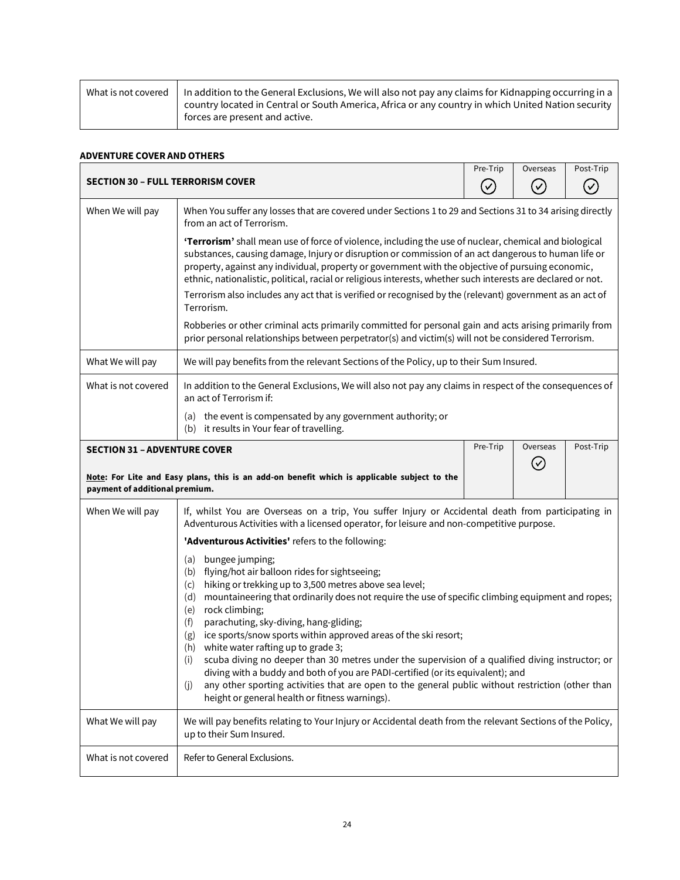| What is not covered | In addition to the General Exclusions, We will also not pay any claims for Kidnapping occurring in a<br>country located in Central or South America, Africa or any country in which United Nation security |
|---------------------|------------------------------------------------------------------------------------------------------------------------------------------------------------------------------------------------------------|
|                     | forces are present and active.                                                                                                                                                                             |

## <span id="page-23-0"></span>**ADVENTURE COVER AND OTHERS**

<span id="page-23-2"></span><span id="page-23-1"></span>

| <b>SECTION 30 - FULL TERRORISM COVER</b>                                                                                                                                                 |                                                                                                                                                                                                                                                                                                                                                                                                                                                                                                                                                                                                                                                                                                                                                                                                                       |  | Overseas<br>$(\checkmark)$ | Post-Trip |
|------------------------------------------------------------------------------------------------------------------------------------------------------------------------------------------|-----------------------------------------------------------------------------------------------------------------------------------------------------------------------------------------------------------------------------------------------------------------------------------------------------------------------------------------------------------------------------------------------------------------------------------------------------------------------------------------------------------------------------------------------------------------------------------------------------------------------------------------------------------------------------------------------------------------------------------------------------------------------------------------------------------------------|--|----------------------------|-----------|
| When We will pay                                                                                                                                                                         | When You suffer any losses that are covered under Sections 1 to 29 and Sections 31 to 34 arising directly<br>from an act of Terrorism.                                                                                                                                                                                                                                                                                                                                                                                                                                                                                                                                                                                                                                                                                |  |                            |           |
|                                                                                                                                                                                          | 'Terrorism' shall mean use of force of violence, including the use of nuclear, chemical and biological<br>substances, causing damage, Injury or disruption or commission of an act dangerous to human life or<br>property, against any individual, property or government with the objective of pursuing economic,<br>ethnic, nationalistic, political, racial or religious interests, whether such interests are declared or not.<br>Terrorism also includes any act that is verified or recognised by the (relevant) government as an act of                                                                                                                                                                                                                                                                        |  |                            |           |
|                                                                                                                                                                                          | Terrorism.                                                                                                                                                                                                                                                                                                                                                                                                                                                                                                                                                                                                                                                                                                                                                                                                            |  |                            |           |
|                                                                                                                                                                                          | Robberies or other criminal acts primarily committed for personal gain and acts arising primarily from<br>prior personal relationships between perpetrator(s) and victim(s) will not be considered Terrorism.                                                                                                                                                                                                                                                                                                                                                                                                                                                                                                                                                                                                         |  |                            |           |
| What We will pay                                                                                                                                                                         | We will pay benefits from the relevant Sections of the Policy, up to their Sum Insured.                                                                                                                                                                                                                                                                                                                                                                                                                                                                                                                                                                                                                                                                                                                               |  |                            |           |
| What is not covered                                                                                                                                                                      | In addition to the General Exclusions, We will also not pay any claims in respect of the consequences of<br>an act of Terrorism if:                                                                                                                                                                                                                                                                                                                                                                                                                                                                                                                                                                                                                                                                                   |  |                            |           |
|                                                                                                                                                                                          | (a) the event is compensated by any government authority; or<br>(b) it results in Your fear of travelling.                                                                                                                                                                                                                                                                                                                                                                                                                                                                                                                                                                                                                                                                                                            |  |                            |           |
| Pre-Trip<br>Overseas<br><b>SECTION 31 - ADVENTURE COVER</b><br>$\left( \mathbf{v}\right)$<br>Note: For Lite and Easy plans, this is an add-on benefit which is applicable subject to the |                                                                                                                                                                                                                                                                                                                                                                                                                                                                                                                                                                                                                                                                                                                                                                                                                       |  | Post-Trip                  |           |
| payment of additional premium.                                                                                                                                                           |                                                                                                                                                                                                                                                                                                                                                                                                                                                                                                                                                                                                                                                                                                                                                                                                                       |  |                            |           |
| When We will pay                                                                                                                                                                         | If, whilst You are Overseas on a trip, You suffer Injury or Accidental death from participating in<br>Adventurous Activities with a licensed operator, for leisure and non-competitive purpose.                                                                                                                                                                                                                                                                                                                                                                                                                                                                                                                                                                                                                       |  |                            |           |
|                                                                                                                                                                                          | 'Adventurous Activities' refers to the following:                                                                                                                                                                                                                                                                                                                                                                                                                                                                                                                                                                                                                                                                                                                                                                     |  |                            |           |
|                                                                                                                                                                                          | bungee jumping;<br>(a)<br>(b) flying/hot air balloon rides for sightseeing;<br>hiking or trekking up to 3,500 metres above sea level;<br>(c)<br>mountaineering that ordinarily does not require the use of specific climbing equipment and ropes;<br>(d)<br>rock climbing;<br>(e)<br>parachuting, sky-diving, hang-gliding;<br>(f)<br>ice sports/snow sports within approved areas of the ski resort;<br>(g)<br>white water rafting up to grade 3;<br>(h)<br>scuba diving no deeper than 30 metres under the supervision of a qualified diving instructor; or<br>(i)<br>diving with a buddy and both of you are PADI-certified (or its equivalent); and<br>any other sporting activities that are open to the general public without restriction (other than<br>(j)<br>height or general health or fitness warnings). |  |                            |           |
| What We will pay                                                                                                                                                                         | We will pay benefits relating to Your Injury or Accidental death from the relevant Sections of the Policy,<br>up to their Sum Insured.                                                                                                                                                                                                                                                                                                                                                                                                                                                                                                                                                                                                                                                                                |  |                            |           |
| What is not covered                                                                                                                                                                      | Refer to General Exclusions.                                                                                                                                                                                                                                                                                                                                                                                                                                                                                                                                                                                                                                                                                                                                                                                          |  |                            |           |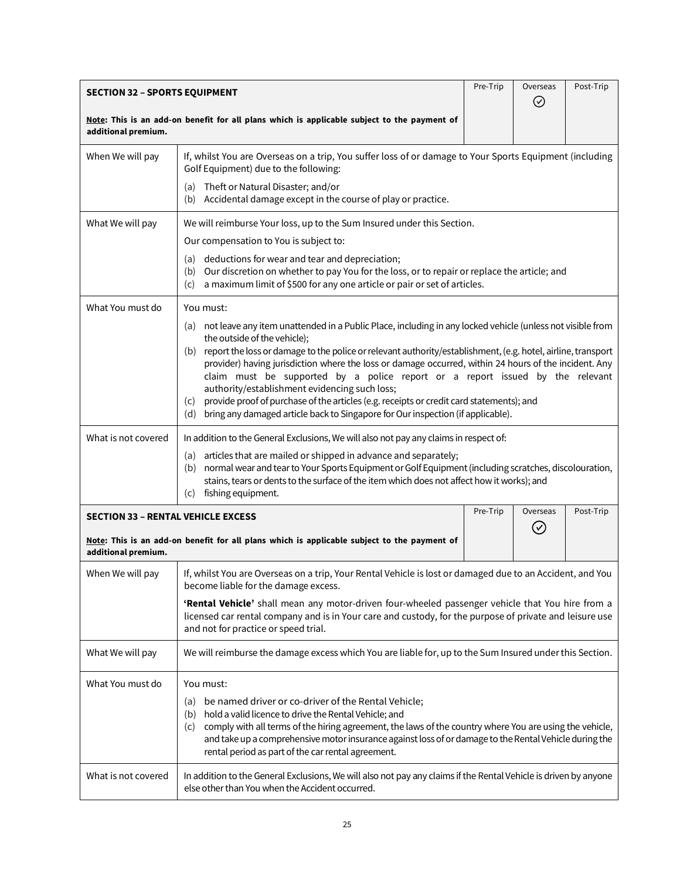<span id="page-24-1"></span><span id="page-24-0"></span>

| <b>SECTION 32 - SPORTS EQUIPMENT</b>                                                                               |                                                                                                                                                                                                                                                                                                                                                                                                                                                                                                                                                                                                                                                                                                           |  | Overseas<br>⊘ | Post-Trip |
|--------------------------------------------------------------------------------------------------------------------|-----------------------------------------------------------------------------------------------------------------------------------------------------------------------------------------------------------------------------------------------------------------------------------------------------------------------------------------------------------------------------------------------------------------------------------------------------------------------------------------------------------------------------------------------------------------------------------------------------------------------------------------------------------------------------------------------------------|--|---------------|-----------|
| Note: This is an add-on benefit for all plans which is applicable subject to the payment of<br>additional premium. |                                                                                                                                                                                                                                                                                                                                                                                                                                                                                                                                                                                                                                                                                                           |  |               |           |
| When We will pay                                                                                                   | If, whilst You are Overseas on a trip, You suffer loss of or damage to Your Sports Equipment (including<br>Golf Equipment) due to the following:                                                                                                                                                                                                                                                                                                                                                                                                                                                                                                                                                          |  |               |           |
|                                                                                                                    | Theft or Natural Disaster; and/or<br>(a)<br>(b) Accidental damage except in the course of play or practice.                                                                                                                                                                                                                                                                                                                                                                                                                                                                                                                                                                                               |  |               |           |
| What We will pay                                                                                                   | We will reimburse Your loss, up to the Sum Insured under this Section.                                                                                                                                                                                                                                                                                                                                                                                                                                                                                                                                                                                                                                    |  |               |           |
|                                                                                                                    | Our compensation to You is subject to:                                                                                                                                                                                                                                                                                                                                                                                                                                                                                                                                                                                                                                                                    |  |               |           |
|                                                                                                                    | deductions for wear and tear and depreciation;<br>(a)<br>(b) Our discretion on whether to pay You for the loss, or to repair or replace the article; and<br>a maximum limit of \$500 for any one article or pair or set of articles.<br>(c)                                                                                                                                                                                                                                                                                                                                                                                                                                                               |  |               |           |
| What You must do                                                                                                   | You must:                                                                                                                                                                                                                                                                                                                                                                                                                                                                                                                                                                                                                                                                                                 |  |               |           |
|                                                                                                                    | (a) not leave any item unattended in a Public Place, including in any locked vehicle (unless not visible from<br>the outside of the vehicle);<br>(b) report the loss or damage to the police or relevant authority/establishment, (e.g. hotel, airline, transport<br>provider) having jurisdiction where the loss or damage occurred, within 24 hours of the incident. Any<br>claim must be supported by a police report or a report issued by the relevant<br>authority/establishment evidencing such loss;<br>provide proof of purchase of the articles (e.g. receipts or credit card statements); and<br>(c)<br>bring any damaged article back to Singapore for Our inspection (if applicable).<br>(d) |  |               |           |
| What is not covered                                                                                                | In addition to the General Exclusions, We will also not pay any claims in respect of:                                                                                                                                                                                                                                                                                                                                                                                                                                                                                                                                                                                                                     |  |               |           |
|                                                                                                                    | (a) articles that are mailed or shipped in advance and separately;<br>normal wear and tear to Your Sports Equipment or Golf Equipment (including scratches, discolouration,<br>(b)<br>stains, tears or dents to the surface of the item which does not affect how it works); and<br>fishing equipment.<br>(c)                                                                                                                                                                                                                                                                                                                                                                                             |  |               |           |
| Pre-Trip<br>Overseas<br><b>SECTION 33 - RENTAL VEHICLE EXCESS</b>                                                  |                                                                                                                                                                                                                                                                                                                                                                                                                                                                                                                                                                                                                                                                                                           |  | Post-Trip     |           |
| Note: This is an add-on benefit for all plans which is applicable subject to the payment of<br>additional premium. |                                                                                                                                                                                                                                                                                                                                                                                                                                                                                                                                                                                                                                                                                                           |  | $(\vee)$      |           |
| When We will pay                                                                                                   | If, whilst You are Overseas on a trip, Your Rental Vehicle is lost or damaged due to an Accident, and You<br>become liable for the damage excess.                                                                                                                                                                                                                                                                                                                                                                                                                                                                                                                                                         |  |               |           |
|                                                                                                                    | 'Rental Vehicle' shall mean any motor-driven four-wheeled passenger vehicle that You hire from a<br>licensed car rental company and is in Your care and custody, for the purpose of private and leisure use<br>and not for practice or speed trial.                                                                                                                                                                                                                                                                                                                                                                                                                                                       |  |               |           |
| What We will pay                                                                                                   | We will reimburse the damage excess which You are liable for, up to the Sum Insured under this Section.                                                                                                                                                                                                                                                                                                                                                                                                                                                                                                                                                                                                   |  |               |           |
| What You must do                                                                                                   | You must:                                                                                                                                                                                                                                                                                                                                                                                                                                                                                                                                                                                                                                                                                                 |  |               |           |
|                                                                                                                    | be named driver or co-driver of the Rental Vehicle;<br>(a)<br>hold a valid licence to drive the Rental Vehicle; and<br>(b)<br>comply with all terms of the hiring agreement, the laws of the country where You are using the vehicle,<br>(c)<br>and take up a comprehensive motor insurance against loss of or damage to the Rental Vehicle during the<br>rental period as part of the car rental agreement.                                                                                                                                                                                                                                                                                              |  |               |           |
| What is not covered                                                                                                | In addition to the General Exclusions, We will also not pay any claims if the Rental Vehicle is driven by anyone<br>else other than You when the Accident occurred.                                                                                                                                                                                                                                                                                                                                                                                                                                                                                                                                       |  |               |           |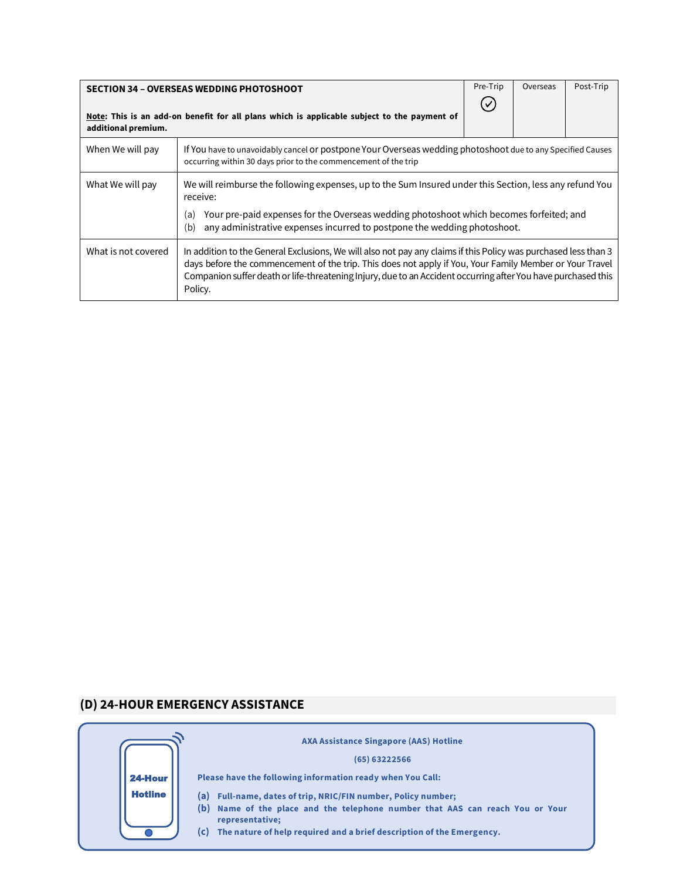<span id="page-25-0"></span>

| <b>SECTION 34 - OVERSEAS WEDDING PHOTOSHOOT</b>                                                                    |                                                                                                                                                                                                                                                                                                                                                        | Pre-Trip | Overseas | Post-Trip |
|--------------------------------------------------------------------------------------------------------------------|--------------------------------------------------------------------------------------------------------------------------------------------------------------------------------------------------------------------------------------------------------------------------------------------------------------------------------------------------------|----------|----------|-----------|
| Note: This is an add-on benefit for all plans which is applicable subject to the payment of<br>additional premium. |                                                                                                                                                                                                                                                                                                                                                        |          |          |           |
| When We will pay                                                                                                   | If You have to unavoidably cancel or postpone Your Overseas wedding photoshoot due to any Specified Causes<br>occurring within 30 days prior to the commencement of the trip                                                                                                                                                                           |          |          |           |
| What We will pay                                                                                                   | We will reimburse the following expenses, up to the Sum Insured under this Section, less any refund You<br>receive:                                                                                                                                                                                                                                    |          |          |           |
|                                                                                                                    | Your pre-paid expenses for the Overseas wedding photoshoot which becomes forfeited; and<br>(a)<br>any administrative expenses incurred to postpone the wedding photoshoot.<br>(b)                                                                                                                                                                      |          |          |           |
| What is not covered                                                                                                | In addition to the General Exclusions, We will also not pay any claims if this Policy was purchased less than 3<br>days before the commencement of the trip. This does not apply if You, Your Family Member or Your Travel<br>Companion suffer death or life-threatening Injury, due to an Accident occurring after You have purchased this<br>Policy. |          |          |           |

# <span id="page-25-1"></span>**(D) 24-HOUR EMERGENCY ASSISTANCE**

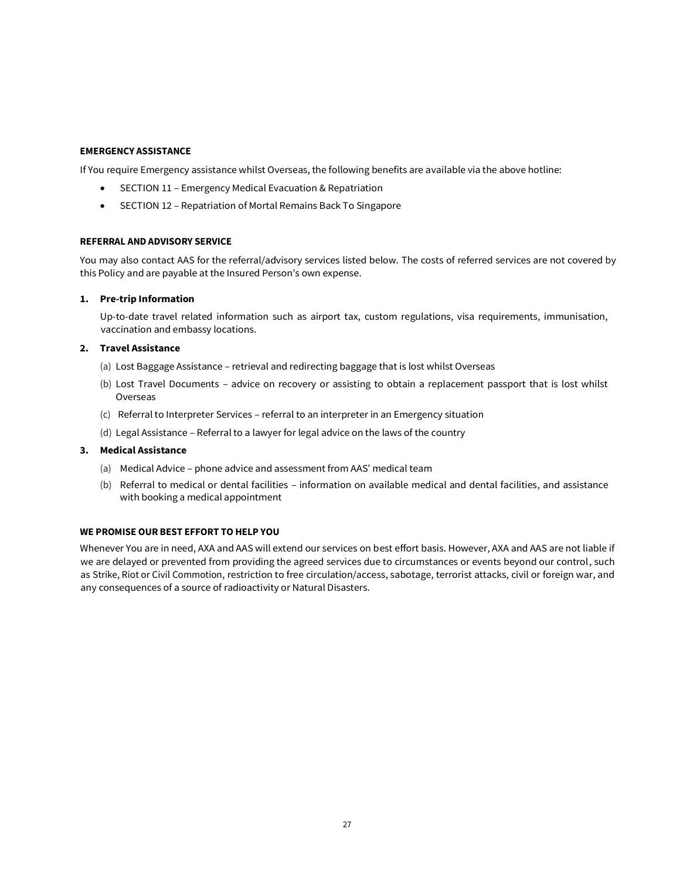## **EMERGENCY ASSISTANCE**

If You require Emergency assistance whilst Overseas, the following benefits are available via the above hotline:

- SECTION 11 Emergency Medical Evacuation & Repatriation
- SECTION 12 Repatriation of Mortal Remains Back To Singapore

#### **REFERRAL AND ADVISORY SERVICE**

You may also contact AAS for the referral/advisory services listed below. The costs of referred services are not covered by this Policy and are payable at the Insured Person's own expense.

#### **1. Pre-trip Information**

Up-to-date travel related information such as airport tax, custom regulations, visa requirements, immunisation, vaccination and embassy locations.

## **2. Travel Assistance**

- (a) Lost Baggage Assistance retrieval and redirecting baggage that is lost whilst Overseas
- (b) Lost Travel Documents advice on recovery or assisting to obtain a replacement passport that is lost whilst Overseas
- (c) Referral to Interpreter Services referral to an interpreter in an Emergency situation
- (d) Legal Assistance Referral to a lawyer for legal advice on the laws of the country

## **3. Medical Assistance**

- (a) Medical Advice phone advice and assessment from AAS' medical team
- (b) Referral to medical or dental facilities information on available medical and dental facilities, and assistance with booking a medical appointment

#### **WE PROMISE OUR BEST EFFORT TO HELP YOU**

Whenever You are in need, AXA and AAS will extend our services on best effort basis. However, AXA and AAS are not liable if we are delayed or prevented from providing the agreed services due to circumstances or events beyond our control, such as Strike, Riot or Civil Commotion, restriction to free circulation/access, sabotage, terrorist attacks, civil or foreign war, and any consequences of a source of radioactivity or Natural Disasters.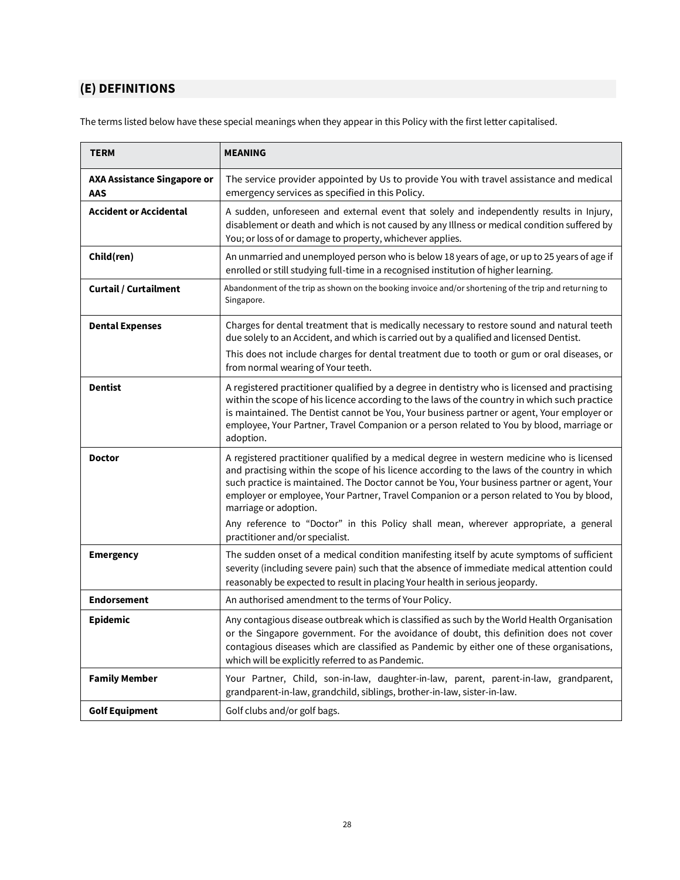# <span id="page-27-0"></span>**(E) DEFINITIONS**

The terms listed below have these special meanings when they appear in this Policy with the first letter capitalised.

| <b>TERM</b>                                      | <b>MEANING</b>                                                                                                                                                                                                                                                                                                                                                                                                   |
|--------------------------------------------------|------------------------------------------------------------------------------------------------------------------------------------------------------------------------------------------------------------------------------------------------------------------------------------------------------------------------------------------------------------------------------------------------------------------|
| <b>AXA Assistance Singapore or</b><br><b>AAS</b> | The service provider appointed by Us to provide You with travel assistance and medical<br>emergency services as specified in this Policy.                                                                                                                                                                                                                                                                        |
| Accident or Accidental                           | A sudden, unforeseen and external event that solely and independently results in Injury,<br>disablement or death and which is not caused by any Illness or medical condition suffered by<br>You; or loss of or damage to property, whichever applies.                                                                                                                                                            |
| Child(ren)                                       | An unmarried and unemployed person who is below 18 years of age, or up to 25 years of age if<br>enrolled or still studying full-time in a recognised institution of higher learning.                                                                                                                                                                                                                             |
| <b>Curtail / Curtailment</b>                     | Abandonment of the trip as shown on the booking invoice and/or shortening of the trip and returning to<br>Singapore.                                                                                                                                                                                                                                                                                             |
| <b>Dental Expenses</b>                           | Charges for dental treatment that is medically necessary to restore sound and natural teeth<br>due solely to an Accident, and which is carried out by a qualified and licensed Dentist.<br>This does not include charges for dental treatment due to tooth or gum or oral diseases, or<br>from normal wearing of Your teeth.                                                                                     |
| <b>Dentist</b>                                   | A registered practitioner qualified by a degree in dentistry who is licensed and practising<br>within the scope of his licence according to the laws of the country in which such practice<br>is maintained. The Dentist cannot be You, Your business partner or agent, Your employer or<br>employee, Your Partner, Travel Companion or a person related to You by blood, marriage or<br>adoption.               |
| <b>Doctor</b>                                    | A registered practitioner qualified by a medical degree in western medicine who is licensed<br>and practising within the scope of his licence according to the laws of the country in which<br>such practice is maintained. The Doctor cannot be You, Your business partner or agent, Your<br>employer or employee, Your Partner, Travel Companion or a person related to You by blood,<br>marriage or adoption. |
|                                                  | Any reference to "Doctor" in this Policy shall mean, wherever appropriate, a general<br>practitioner and/or specialist.                                                                                                                                                                                                                                                                                          |
| <b>Emergency</b>                                 | The sudden onset of a medical condition manifesting itself by acute symptoms of sufficient<br>severity (including severe pain) such that the absence of immediate medical attention could<br>reasonably be expected to result in placing Your health in serious jeopardy.                                                                                                                                        |
| <b>Endorsement</b>                               | An authorised amendment to the terms of Your Policy.                                                                                                                                                                                                                                                                                                                                                             |
| <b>Epidemic</b>                                  | Any contagious disease outbreak which is classified as such by the World Health Organisation<br>or the Singapore government. For the avoidance of doubt, this definition does not cover<br>contagious diseases which are classified as Pandemic by either one of these organisations,<br>which will be explicitly referred to as Pandemic.                                                                       |
| <b>Family Member</b>                             | Your Partner, Child, son-in-law, daughter-in-law, parent, parent-in-law, grandparent,<br>grandparent-in-law, grandchild, siblings, brother-in-law, sister-in-law.                                                                                                                                                                                                                                                |
| <b>Golf Equipment</b>                            | Golf clubs and/or golf bags.                                                                                                                                                                                                                                                                                                                                                                                     |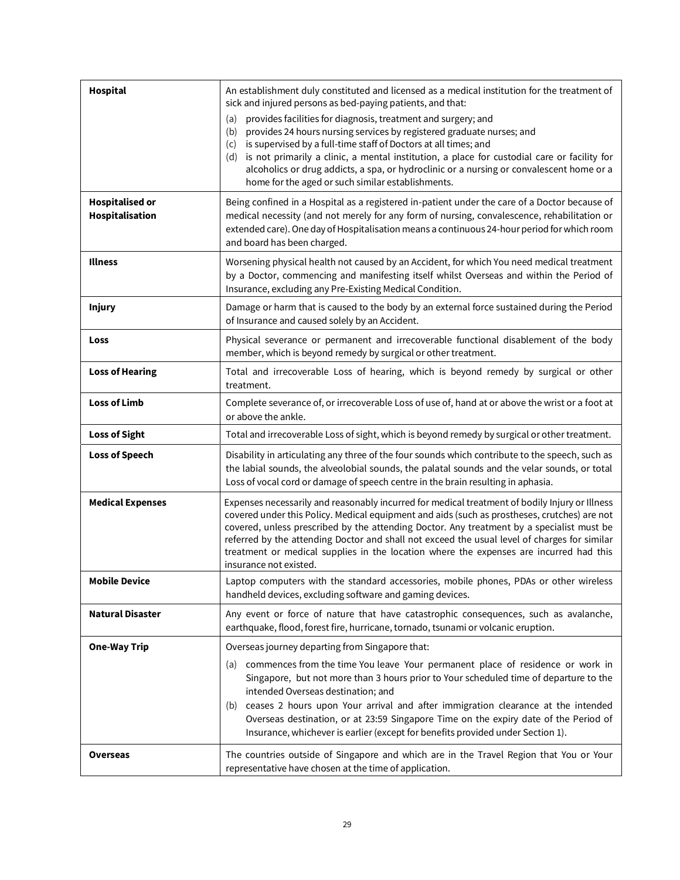| <b>Hospital</b>                           | An establishment duly constituted and licensed as a medical institution for the treatment of<br>sick and injured persons as bed-paying patients, and that:<br>provides facilities for diagnosis, treatment and surgery; and<br>(a)<br>provides 24 hours nursing services by registered graduate nurses; and<br>(b)<br>is supervised by a full-time staff of Doctors at all times; and<br>(c)<br>is not primarily a clinic, a mental institution, a place for custodial care or facility for<br>(d)<br>alcoholics or drug addicts, a spa, or hydroclinic or a nursing or convalescent home or a |
|-------------------------------------------|------------------------------------------------------------------------------------------------------------------------------------------------------------------------------------------------------------------------------------------------------------------------------------------------------------------------------------------------------------------------------------------------------------------------------------------------------------------------------------------------------------------------------------------------------------------------------------------------|
|                                           | home for the aged or such similar establishments.                                                                                                                                                                                                                                                                                                                                                                                                                                                                                                                                              |
| <b>Hospitalised or</b><br>Hospitalisation | Being confined in a Hospital as a registered in-patient under the care of a Doctor because of<br>medical necessity (and not merely for any form of nursing, convalescence, rehabilitation or<br>extended care). One day of Hospitalisation means a continuous 24-hour period for which room<br>and board has been charged.                                                                                                                                                                                                                                                                     |
| <b>Illness</b>                            | Worsening physical health not caused by an Accident, for which You need medical treatment<br>by a Doctor, commencing and manifesting itself whilst Overseas and within the Period of<br>Insurance, excluding any Pre-Existing Medical Condition.                                                                                                                                                                                                                                                                                                                                               |
| <b>Injury</b>                             | Damage or harm that is caused to the body by an external force sustained during the Period<br>of Insurance and caused solely by an Accident.                                                                                                                                                                                                                                                                                                                                                                                                                                                   |
| Loss                                      | Physical severance or permanent and irrecoverable functional disablement of the body<br>member, which is beyond remedy by surgical or other treatment.                                                                                                                                                                                                                                                                                                                                                                                                                                         |
| <b>Loss of Hearing</b>                    | Total and irrecoverable Loss of hearing, which is beyond remedy by surgical or other<br>treatment.                                                                                                                                                                                                                                                                                                                                                                                                                                                                                             |
| <b>Loss of Limb</b>                       | Complete severance of, or irrecoverable Loss of use of, hand at or above the wrist or a foot at<br>or above the ankle.                                                                                                                                                                                                                                                                                                                                                                                                                                                                         |
| <b>Loss of Sight</b>                      | Total and irrecoverable Loss of sight, which is beyond remedy by surgical or other treatment.                                                                                                                                                                                                                                                                                                                                                                                                                                                                                                  |
| <b>Loss of Speech</b>                     | Disability in articulating any three of the four sounds which contribute to the speech, such as<br>the labial sounds, the alveolobial sounds, the palatal sounds and the velar sounds, or total<br>Loss of vocal cord or damage of speech centre in the brain resulting in aphasia.                                                                                                                                                                                                                                                                                                            |
| <b>Medical Expenses</b>                   | Expenses necessarily and reasonably incurred for medical treatment of bodily Injury or Illness<br>covered under this Policy. Medical equipment and aids (such as prostheses, crutches) are not<br>covered, unless prescribed by the attending Doctor. Any treatment by a specialist must be<br>referred by the attending Doctor and shall not exceed the usual level of charges for similar<br>treatment or medical supplies in the location where the expenses are incurred had this<br>insurance not existed.                                                                                |
| <b>Mobile Device</b>                      | Laptop computers with the standard accessories, mobile phones, PDAs or other wireless<br>handheld devices, excluding software and gaming devices.                                                                                                                                                                                                                                                                                                                                                                                                                                              |
| <b>Natural Disaster</b>                   | Any event or force of nature that have catastrophic consequences, such as avalanche,<br>earthquake, flood, forest fire, hurricane, tornado, tsunami or volcanic eruption.                                                                                                                                                                                                                                                                                                                                                                                                                      |
| <b>One-Way Trip</b>                       | Overseas journey departing from Singapore that:<br>commences from the time You leave Your permanent place of residence or work in<br>(a)<br>Singapore, but not more than 3 hours prior to Your scheduled time of departure to the<br>intended Overseas destination; and<br>(b) ceases 2 hours upon Your arrival and after immigration clearance at the intended<br>Overseas destination, or at 23:59 Singapore Time on the expiry date of the Period of<br>Insurance, whichever is earlier (except for benefits provided under Section 1).                                                     |
| Overseas                                  | The countries outside of Singapore and which are in the Travel Region that You or Your<br>representative have chosen at the time of application.                                                                                                                                                                                                                                                                                                                                                                                                                                               |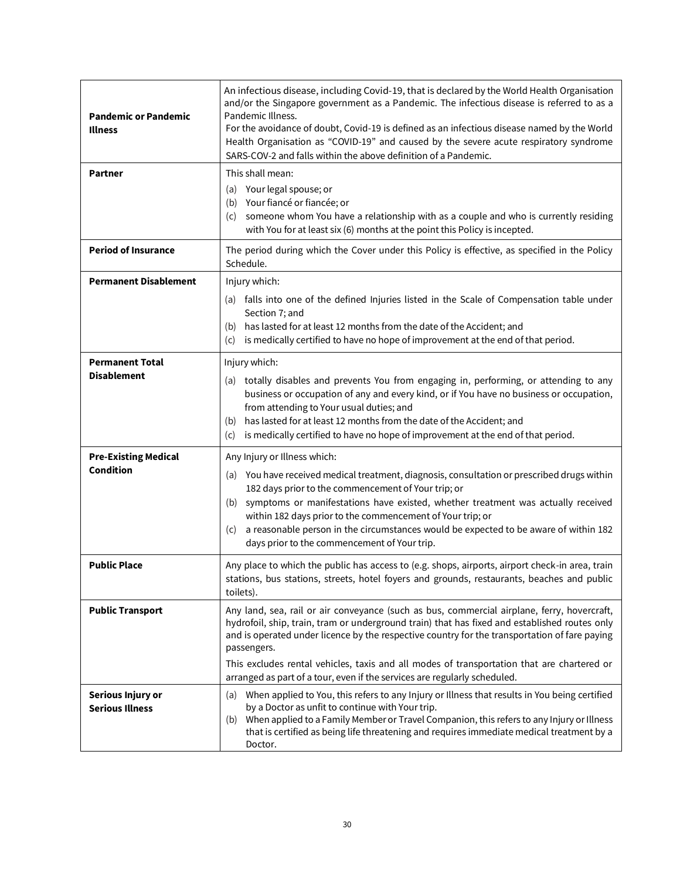| <b>Pandemic or Pandemic</b><br><b>Illness</b>   | An infectious disease, including Covid-19, that is declared by the World Health Organisation<br>and/or the Singapore government as a Pandemic. The infectious disease is referred to as a<br>Pandemic Illness.<br>For the avoidance of doubt, Covid-19 is defined as an infectious disease named by the World<br>Health Organisation as "COVID-19" and caused by the severe acute respiratory syndrome<br>SARS-COV-2 and falls within the above definition of a Pandemic.                  |
|-------------------------------------------------|--------------------------------------------------------------------------------------------------------------------------------------------------------------------------------------------------------------------------------------------------------------------------------------------------------------------------------------------------------------------------------------------------------------------------------------------------------------------------------------------|
| <b>Partner</b>                                  | This shall mean:<br>(a) Your legal spouse; or<br>Your fiancé or fiancée; or<br>(b)<br>someone whom You have a relationship with as a couple and who is currently residing<br>(c)<br>with You for at least six (6) months at the point this Policy is incepted.                                                                                                                                                                                                                             |
| <b>Period of Insurance</b>                      | The period during which the Cover under this Policy is effective, as specified in the Policy<br>Schedule.                                                                                                                                                                                                                                                                                                                                                                                  |
| <b>Permanent Disablement</b>                    | Injury which:<br>(a) falls into one of the defined Injuries listed in the Scale of Compensation table under<br>Section 7; and<br>has lasted for at least 12 months from the date of the Accident; and<br>(b)<br>is medically certified to have no hope of improvement at the end of that period.<br>(c)                                                                                                                                                                                    |
| <b>Permanent Total</b><br><b>Disablement</b>    | Injury which:<br>totally disables and prevents You from engaging in, performing, or attending to any<br>(a)<br>business or occupation of any and every kind, or if You have no business or occupation,<br>from attending to Your usual duties; and<br>has lasted for at least 12 months from the date of the Accident; and<br>(b)<br>is medically certified to have no hope of improvement at the end of that period.<br>(c)                                                               |
| <b>Pre-Existing Medical</b><br><b>Condition</b> | Any Injury or Illness which:<br>(a) You have received medical treatment, diagnosis, consultation or prescribed drugs within<br>182 days prior to the commencement of Your trip; or<br>symptoms or manifestations have existed, whether treatment was actually received<br>(b)<br>within 182 days prior to the commencement of Your trip; or<br>a reasonable person in the circumstances would be expected to be aware of within 182<br>(C)<br>days prior to the commencement of Your trip. |
| <b>Public Place</b>                             | Any place to which the public has access to (e.g. shops, airports, airport check-in area, train<br>stations, bus stations, streets, hotel foyers and grounds, restaurants, beaches and public<br>toilets).                                                                                                                                                                                                                                                                                 |
| <b>Public Transport</b>                         | Any land, sea, rail or air conveyance (such as bus, commercial airplane, ferry, hovercraft,<br>hydrofoil, ship, train, tram or underground train) that has fixed and established routes only<br>and is operated under licence by the respective country for the transportation of fare paying<br>passengers.<br>This excludes rental vehicles, taxis and all modes of transportation that are chartered or<br>arranged as part of a tour, even if the services are regularly scheduled.    |
| Serious Injury or<br><b>Serious Illness</b>     | When applied to You, this refers to any Injury or Illness that results in You being certified<br>(a)<br>by a Doctor as unfit to continue with Your trip.<br>When applied to a Family Member or Travel Companion, this refers to any Injury or Illness<br>(b)<br>that is certified as being life threatening and requires immediate medical treatment by a<br>Doctor.                                                                                                                       |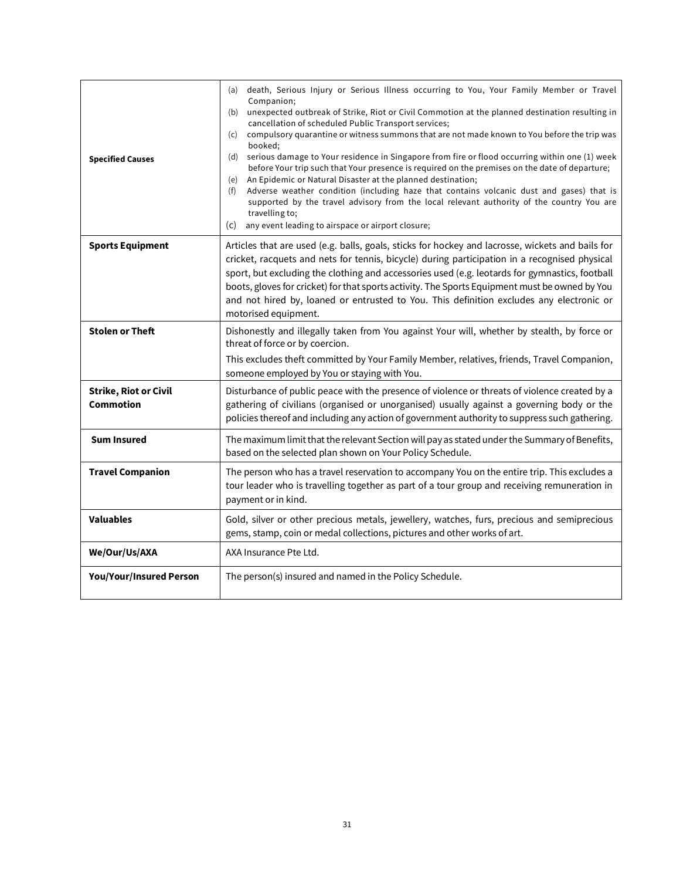| <b>Specified Causes</b>                   | death, Serious Injury or Serious Illness occurring to You, Your Family Member or Travel<br>(a)<br>Companion;<br>unexpected outbreak of Strike, Riot or Civil Commotion at the planned destination resulting in<br>(b)<br>cancellation of scheduled Public Transport services;<br>compulsory quarantine or witness summons that are not made known to You before the trip was<br>(c)<br>booked:<br>serious damage to Your residence in Singapore from fire or flood occurring within one (1) week<br>(d)<br>before Your trip such that Your presence is required on the premises on the date of departure;<br>An Epidemic or Natural Disaster at the planned destination;<br>(e)<br>Adverse weather condition (including haze that contains volcanic dust and gases) that is<br>(f)<br>supported by the travel advisory from the local relevant authority of the country You are<br>travelling to;<br>any event leading to airspace or airport closure;<br>(c) |  |
|-------------------------------------------|---------------------------------------------------------------------------------------------------------------------------------------------------------------------------------------------------------------------------------------------------------------------------------------------------------------------------------------------------------------------------------------------------------------------------------------------------------------------------------------------------------------------------------------------------------------------------------------------------------------------------------------------------------------------------------------------------------------------------------------------------------------------------------------------------------------------------------------------------------------------------------------------------------------------------------------------------------------|--|
| <b>Sports Equipment</b>                   | Articles that are used (e.g. balls, goals, sticks for hockey and lacrosse, wickets and bails for<br>cricket, racquets and nets for tennis, bicycle) during participation in a recognised physical<br>sport, but excluding the clothing and accessories used (e.g. leotards for gymnastics, football<br>boots, gloves for cricket) for that sports activity. The Sports Equipment must be owned by You<br>and not hired by, loaned or entrusted to You. This definition excludes any electronic or<br>motorised equipment.                                                                                                                                                                                                                                                                                                                                                                                                                                     |  |
| <b>Stolen or Theft</b>                    | Dishonestly and illegally taken from You against Your will, whether by stealth, by force or<br>threat of force or by coercion.<br>This excludes theft committed by Your Family Member, relatives, friends, Travel Companion,<br>someone employed by You or staying with You.                                                                                                                                                                                                                                                                                                                                                                                                                                                                                                                                                                                                                                                                                  |  |
| <b>Strike, Riot or Civil</b><br>Commotion | Disturbance of public peace with the presence of violence or threats of violence created by a<br>gathering of civilians (organised or unorganised) usually against a governing body or the<br>policies thereof and including any action of government authority to suppress such gathering.                                                                                                                                                                                                                                                                                                                                                                                                                                                                                                                                                                                                                                                                   |  |
| <b>Sum Insured</b>                        | The maximum limit that the relevant Section will pay as stated under the Summary of Benefits,<br>based on the selected plan shown on Your Policy Schedule.                                                                                                                                                                                                                                                                                                                                                                                                                                                                                                                                                                                                                                                                                                                                                                                                    |  |
| <b>Travel Companion</b>                   | The person who has a travel reservation to accompany You on the entire trip. This excludes a<br>tour leader who is travelling together as part of a tour group and receiving remuneration in<br>payment or in kind.                                                                                                                                                                                                                                                                                                                                                                                                                                                                                                                                                                                                                                                                                                                                           |  |
| <b>Valuables</b>                          | Gold, silver or other precious metals, jewellery, watches, furs, precious and semiprecious<br>gems, stamp, coin or medal collections, pictures and other works of art.                                                                                                                                                                                                                                                                                                                                                                                                                                                                                                                                                                                                                                                                                                                                                                                        |  |
| We/Our/Us/AXA                             | AXA Insurance Pte Ltd.                                                                                                                                                                                                                                                                                                                                                                                                                                                                                                                                                                                                                                                                                                                                                                                                                                                                                                                                        |  |
| <b>You/Your/Insured Person</b>            | The person(s) insured and named in the Policy Schedule.                                                                                                                                                                                                                                                                                                                                                                                                                                                                                                                                                                                                                                                                                                                                                                                                                                                                                                       |  |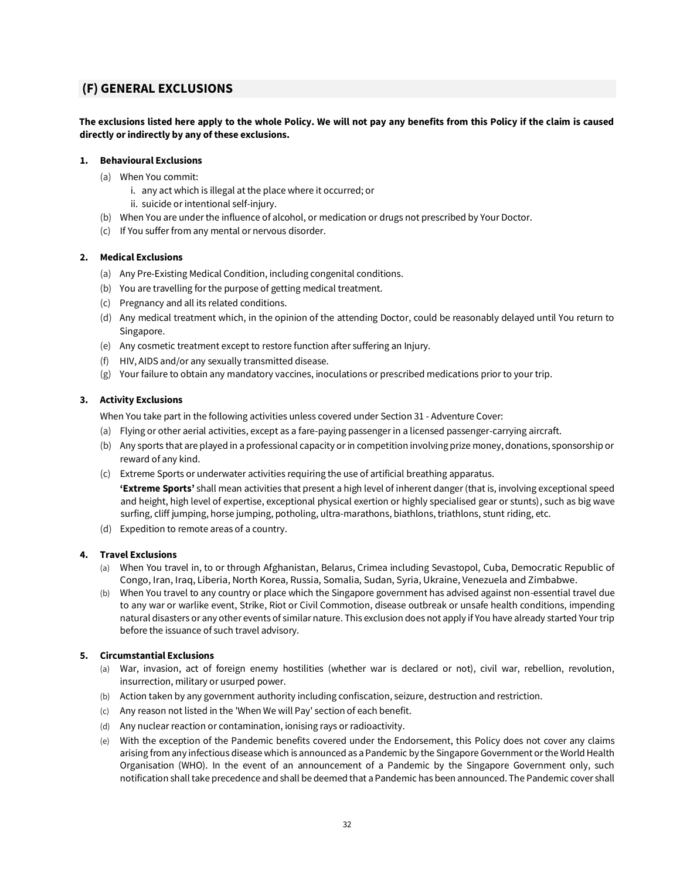## <span id="page-31-0"></span>**(F) GENERAL EXCLUSIONS**

**The exclusions listed here apply to the whole Policy. We will not pay any benefits from this Policy if the claim is caused directly or indirectly by any of these exclusions.** 

## **1. Behavioural Exclusions**

- (a) When You commit:
	- i. any act which is illegal at the place where it occurred; or
	- ii. suicide or intentional self-injury.
- (b) When You are under the influence of alcohol, or medication or drugs not prescribed by Your Doctor.
- (c) If You suffer from any mental or nervous disorder.

## **2. Medical Exclusions**

- (a) Any Pre-Existing Medical Condition, including congenital conditions.
- (b) You are travelling for the purpose of getting medical treatment.
- (c) Pregnancy and all its related conditions.
- (d) Any medical treatment which, in the opinion of the attending Doctor, could be reasonably delayed until You return to Singapore.
- (e) Any cosmetic treatment except to restore function after suffering an Injury.
- (f) HIV, AIDS and/or any sexually transmitted disease.
- (g) Your failure to obtain any mandatory vaccines, inoculations or prescribed medications prior to your trip.

## **3. Activity Exclusions**

When You take part in the following activities unless covered under Section 31 - Adventure Cover:

- (a) Flying or other aerial activities, except as a fare-paying passenger in a licensed passenger-carrying aircraft.
- (b) Any sports that are played in a professional capacity or in competition involving prize money, donations, sponsorship or reward of any kind.
- (c) Extreme Sports or underwater activities requiring the use of artificial breathing apparatus.
	- **'Extreme Sports'** shall mean activities that present a high level of inherent danger (that is, involving exceptional speed and height, high level of expertise, exceptional physical exertion or highly specialised gear or stunts), such as big wave surfing, cliff jumping, horse jumping, potholing, ultra-marathons, biathlons, triathlons, stunt riding, etc.
- (d) Expedition to remote areas of a country.

## **4. Travel Exclusions**

- (a) When You travel in, to or through Afghanistan, Belarus, Crimea including Sevastopol, Cuba, Democratic Republic of Congo, Iran, Iraq, Liberia, North Korea, Russia, Somalia, Sudan, Syria, Ukraine, Venezuela and Zimbabwe.
- (b) When You travel to any country or place which the Singapore government has advised against non-essential travel due to any war or warlike event, Strike, Riot or Civil Commotion, disease outbreak or unsafe health conditions, impending natural disasters or any other events of similar nature. This exclusion does not apply if You have already started Your trip before the issuance of such travel advisory.

## **5. Circumstantial Exclusions**

- (a) War, invasion, act of foreign enemy hostilities (whether war is declared or not), civil war, rebellion, revolution, insurrection, military or usurped power.
- (b) Action taken by any government authority including confiscation, seizure, destruction and restriction.
- (c) Any reason not listed in the 'When We will Pay' section of each benefit.
- (d) Any nuclear reaction or contamination, ionising rays or radioactivity.
- (e) With the exception of the Pandemic benefits covered under the Endorsement, this Policy does not cover any claims arising from any infectious disease which is announced as a Pandemic by the Singapore Government or the World Health Organisation (WHO). In the event of an announcement of a Pandemic by the Singapore Government only, such notification shall take precedence and shall be deemed that a Pandemic has been announced. The Pandemic cover shall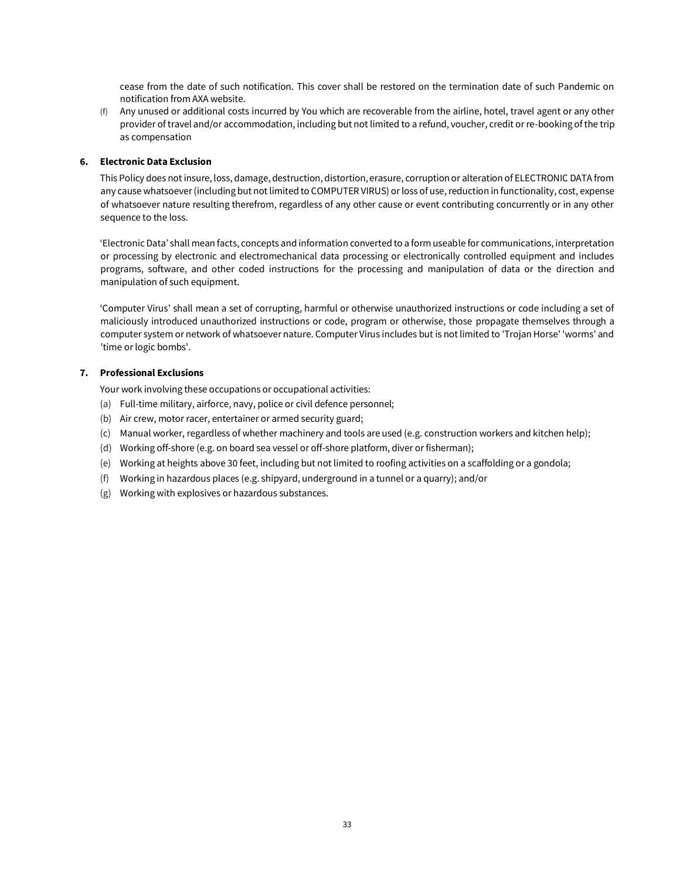cease from the date of such notification. This cover shall be restored on the termination date of such Pandemic on notification from AXA website.

(f) Any unused or additional costs incurred by You which are recoverable from the airline, hotel, travel agent or any other provider of travel and/or accommodation, including but not limited to a refund, voucher, credit or re-booking of the trip as compensation

## **6. Electronic Data Exclusion**

This Policy does not insure, loss, damage, destruction, distortion, erasure, corruption or alteration of ELECTRONIC DATA from any cause whatsoever (including but not limited to COMPUTER VIRUS) or loss of use, reduction in functionality, cost, expense of whatsoever nature resulting therefrom, regardless of any other cause or event contributing concurrently or in any other sequence to the loss.

'Electronic Data' shall mean facts, concepts and information converted to a form useable for communications, interpretation or processing by electronic and electromechanical data processing or electronically controlled equipment and includes programs, software, and other coded instructions for the processing and manipulation of data or the direction and manipulation of such equipment.

'Computer Virus' shall mean a set of corrupting, harmful or otherwise unauthorized instructions or code including a set of maliciously introduced unauthorized instructions or code, program or otherwise, those propagate themselves through a computer system or network of whatsoever nature. Computer Virus includes but is not limited to 'Trojan Horse' 'worms' and 'time or logic bombs'.

## **7. Professional Exclusions**

Your work involving these occupations or occupational activities:

- (a) Full-time military, airforce, navy, police or civil defence personnel;
- (b) Air crew, motor racer, entertainer or armed security guard;
- (c) Manual worker, regardless of whether machinery and tools are used (e.g. construction workers and kitchen help);
- (d) Working off-shore (e.g. on board sea vessel or off-shore platform, diver or fisherman);
- (e) Working at heights above 30 feet, including but not limited to roofing activities on a scaffolding or a gondola;
- (f) Working in hazardous places (e.g. shipyard, underground in a tunnel or a quarry); and/or
- (g) Working with explosives or hazardous substances.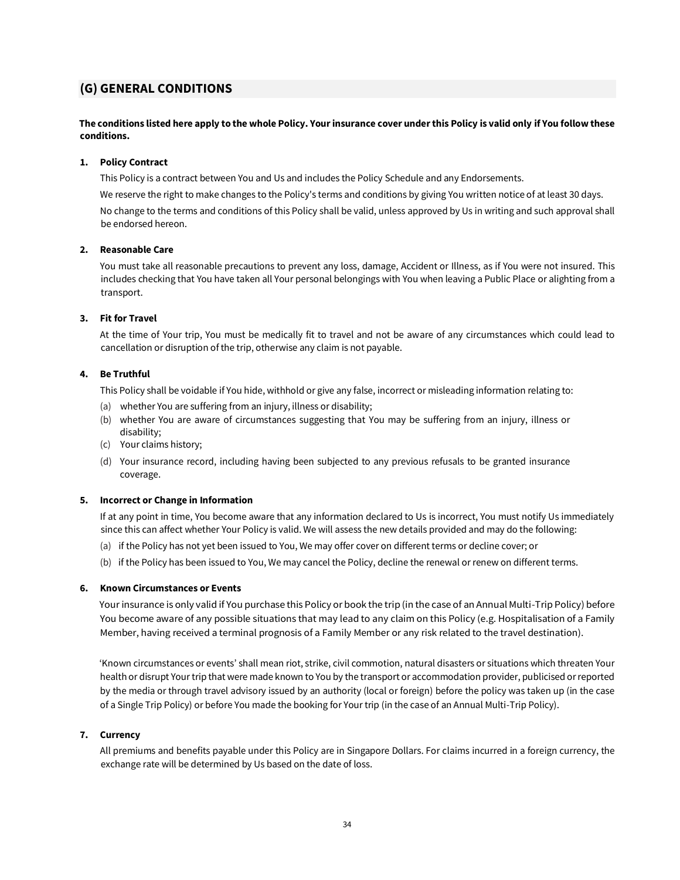## <span id="page-33-0"></span>**(G) GENERAL CONDITIONS**

## **The conditions listed here apply to the whole Policy. Your insurance cover under this Policy is valid only if You follow these conditions.**

## **1. Policy Contract**

This Policy is a contract between You and Us and includes the Policy Schedule and any Endorsements.

We reserve the right to make changes to the Policy's terms and conditions by giving You written notice of at least 30 days. No change to the terms and conditions of this Policy shall be valid, unless approved by Us in writing and such approval shall be endorsed hereon.

## **2. Reasonable Care**

You must take all reasonable precautions to prevent any loss, damage, Accident or Illness, as if You were not insured. This includes checking that You have taken all Your personal belongings with You when leaving a Public Place or alighting from a transport.

## **3. Fit for Travel**

At the time of Your trip, You must be medically fit to travel and not be aware of any circumstances which could lead to cancellation or disruption of the trip, otherwise any claim is not payable.

## **4. Be Truthful**

This Policy shall be voidable if You hide, withhold or give any false, incorrect or misleading information relating to:

- (a) whether You are suffering from an injury, illness or disability;
- (b) whether You are aware of circumstances suggesting that You may be suffering from an injury, illness or disability;
- (c) Your claims history;
- (d) Your insurance record, including having been subjected to any previous refusals to be granted insurance coverage.

## **5. Incorrect or Change in Information**

If at any point in time, You become aware that any information declared to Us is incorrect, You must notify Us immediately since this can affect whether Your Policy is valid. We will assess the new details provided and may do the following:

- (a) if the Policy has not yet been issued to You, We may offer cover on different terms or decline cover; or
- (b) if the Policy has been issued to You, We may cancel the Policy, decline the renewal or renew on different terms.

## **6. Known Circumstances or Events**

Your insurance is only valid if You purchase this Policy or book the trip (in the case of an Annual Multi-Trip Policy) before You become aware of any possible situations that may lead to any claim on this Policy (e.g. Hospitalisation of a Family Member, having received a terminal prognosis of a Family Member or any risk related to the travel destination).

'Known circumstances or events' shall mean riot, strike, civil commotion, natural disasters or situations which threaten Your health or disrupt Your trip that were made known to You by the transport or accommodation provider, publicised or reported by the media or through travel advisory issued by an authority (local or foreign) before the policy was taken up (in the case of a Single Trip Policy) or before You made the booking for Your trip (in the case of an Annual Multi-Trip Policy).

## **7. Currency**

All premiums and benefits payable under this Policy are in Singapore Dollars. For claims incurred in a foreign currency, the exchange rate will be determined by Us based on the date of loss.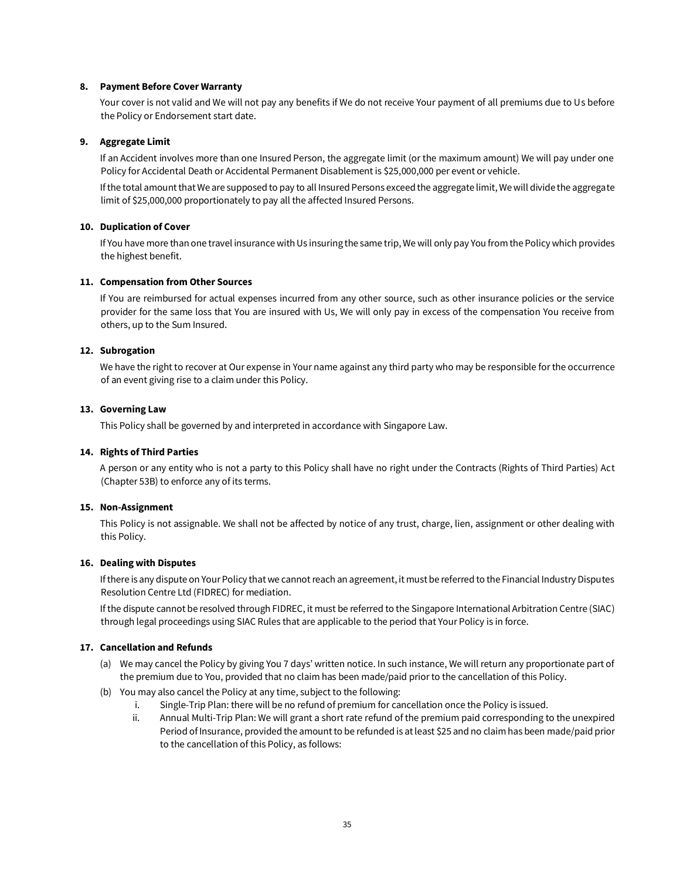#### **8. Payment Before Cover Warranty**

Your cover is not valid and We will not pay any benefits if We do not receive Your payment of all premiums due to Us before the Policy or Endorsement start date.

#### **9. Aggregate Limit**

If an Accident involves more than one Insured Person, the aggregate limit (or the maximum amount) We will pay under one Policy for Accidental Death or Accidental Permanent Disablement is \$25,000,000 per event or vehicle.

If the total amount that We are supposed to pay to all Insured Persons exceed the aggregate limit, We will divide the aggregate limit of \$25,000,000 proportionately to pay all the affected Insured Persons.

#### **10. Duplication of Cover**

If You have more than one travel insurance with Us insuring the same trip, We will only pay You from the Policy which provides the highest benefit.

#### **11. Compensation from Other Sources**

If You are reimbursed for actual expenses incurred from any other source, such as other insurance policies or the service provider for the same loss that You are insured with Us, We will only pay in excess of the compensation You receive from others, up to the Sum Insured.

#### **12. Subrogation**

We have the right to recover at Our expense in Your name against any third party who may be responsible for the occurrence of an event giving rise to a claim under this Policy.

#### **13. Governing Law**

This Policy shall be governed by and interpreted in accordance with Singapore Law.

#### **14. Rights of Third Parties**

A person or any entity who is not a party to this Policy shall have no right under the Contracts (Rights of Third Parties) Act (Chapter 53B) to enforce any of its terms.

#### **15. Non-Assignment**

This Policy is not assignable. We shall not be affected by notice of any trust, charge, lien, assignment or other dealing with this Policy.

#### **16. Dealing with Disputes**

If there is any dispute on Your Policy that we cannot reach an agreement, it must be referred to the Financial Industry Disputes Resolution Centre Ltd (FIDREC) for mediation.

If the dispute cannot be resolved through FIDREC, it must be referred to the Singapore International Arbitration Centre (SIAC) through legal proceedings using SIAC Rules that are applicable to the period that Your Policy is in force.

#### **17. Cancellation and Refunds**

- (a) We may cancel the Policy by giving You 7 days' written notice. In such instance, We will return any proportionate part of the premium due to You, provided that no claim has been made/paid prior to the cancellation of this Policy.
- (b) You may also cancel the Policy at any time, subject to the following:
	- i. Single-Trip Plan: there will be no refund of premium for cancellation once the Policy is issued.
	- ii. Annual Multi-Trip Plan: We will grant a short rate refund of the premium paid corresponding to the unexpired Period of Insurance, provided the amount to be refunded is at least \$25 and no claim has been made/paid prior to the cancellation of this Policy, as follows: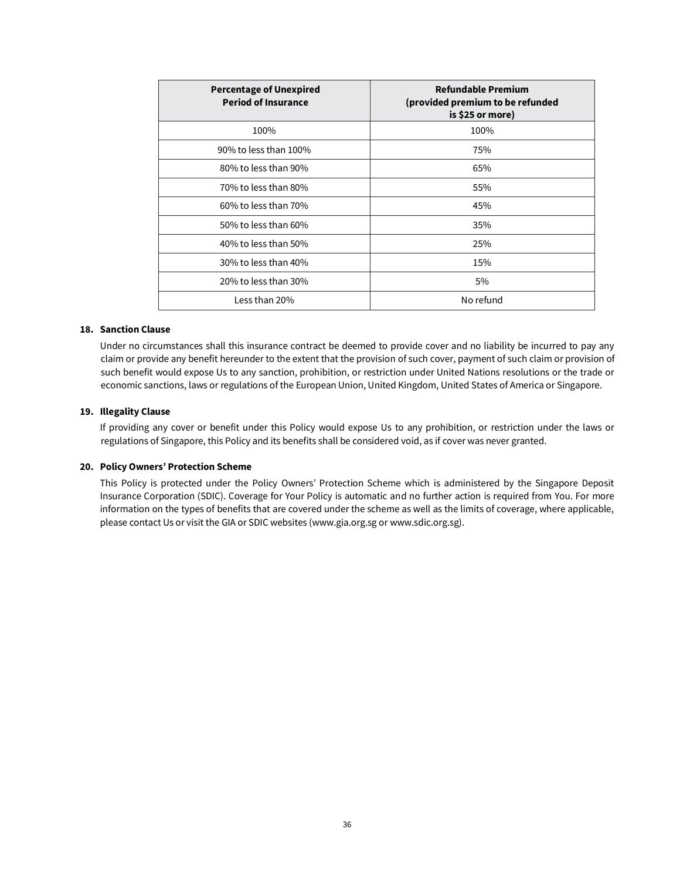| <b>Percentage of Unexpired</b><br><b>Period of Insurance</b> | <b>Refundable Premium</b><br>(provided premium to be refunded<br>is \$25 or more) |
|--------------------------------------------------------------|-----------------------------------------------------------------------------------|
| 100%                                                         | 100%                                                                              |
| 90% to less than 100%                                        | 75%                                                                               |
| 80% to less than 90%                                         | 65%                                                                               |
| 70% to less than 80%                                         | 55%                                                                               |
| 60% to less than 70%                                         | 45%                                                                               |
| 50% to less than 60%                                         | 35%                                                                               |
| 40% to less than 50%                                         | 25%                                                                               |
| 30% to less than 40%                                         | 15%                                                                               |
| 20% to less than 30%                                         | 5%                                                                                |
| Less than 20%                                                | No refund                                                                         |

## **18. Sanction Clause**

Under no circumstances shall this insurance contract be deemed to provide cover and no liability be incurred to pay any claim or provide any benefit hereunder to the extent that the provision of such cover, payment of such claim or provision of such benefit would expose Us to any sanction, prohibition, or restriction under United Nations resolutions or the trade or economic sanctions, laws or regulations of the European Union, United Kingdom, United States of America or Singapore.

#### **19. Illegality Clause**

If providing any cover or benefit under this Policy would expose Us to any prohibition, or restriction under the laws or regulations of Singapore, this Policy and its benefits shall be considered void, as if cover was never granted.

#### **20. Policy Owners' Protection Scheme**

This Policy is protected under the Policy Owners' Protection Scheme which is administered by the Singapore Deposit Insurance Corporation (SDIC). Coverage for Your Policy is automatic and no further action is required from You. For more information on the types of benefits that are covered under the scheme as well as the limits of coverage, where applicable, please contact Us or visit the GIA or SDIC websites (www.gia.org.sg o[r www.sdic.org.sg\).](http://www.sdic.org.sg/)